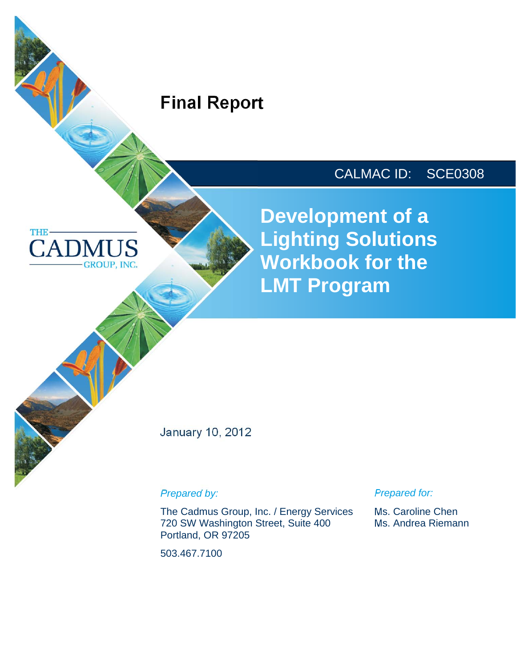# **Final Report**

**THE** 

**CAD** 

**GROUP, INC.** 

# CALMAC ID: SCE0308

**Development of a Lighting Solutions Workbook for the LMT Program** 

January 10, 2012

*Prepared by:* 

The Cadmus Group, Inc. / Energy Services 720 SW Washington Street, Suite 400 Portland, OR 97205

503.467.7100

*Prepared for:* 

Ms. Caroline Chen Ms. Andrea Riemann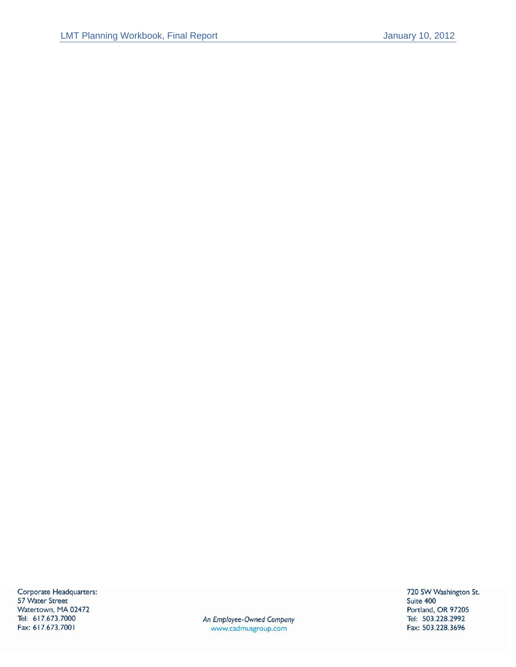Corporate Headquarters: 57 Water Street Watertown, MA 02472 Tel: 617.673.7000 Fax: 617.673.7001

An Employee-Owned Company www.cadmusgroup.com

720 SW Washington St. Suite 400 Portland, OR 97205 Tel: 503.228.2992 Fax: 503.228.3696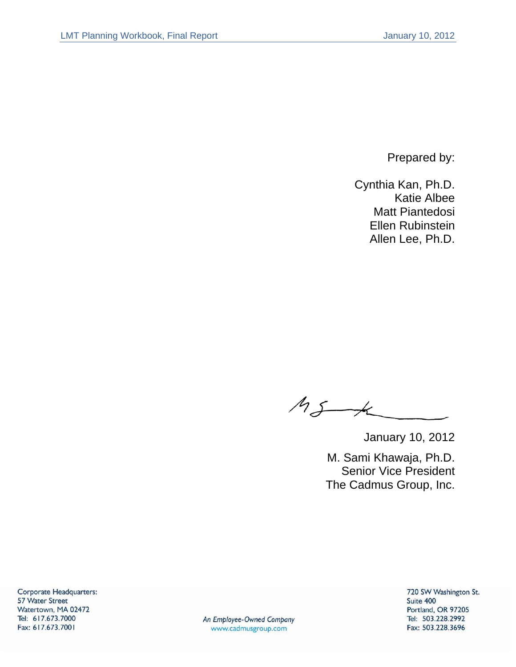Prepared by:

Cynthia Kan, Ph.D. Katie Albee Matt Piantedosi Ellen Rubinstein Allen Lee, Ph.D.

 $M_{S\rightarrow K}$ 

January 10, 2012

 M. Sami Khawaja, Ph.D. Senior Vice President The Cadmus Group, Inc.

Corporate Headquarters: 57 Water Street Watertown, MA 02472 Tel: 617.673.7000 Fax: 617.673.7001

An Employee-Owned Company www.cadmusgroup.com

720 SW Washington St. Suite 400 Portland, OR 97205 Tel: 503.228.2992 Fax: 503.228.3696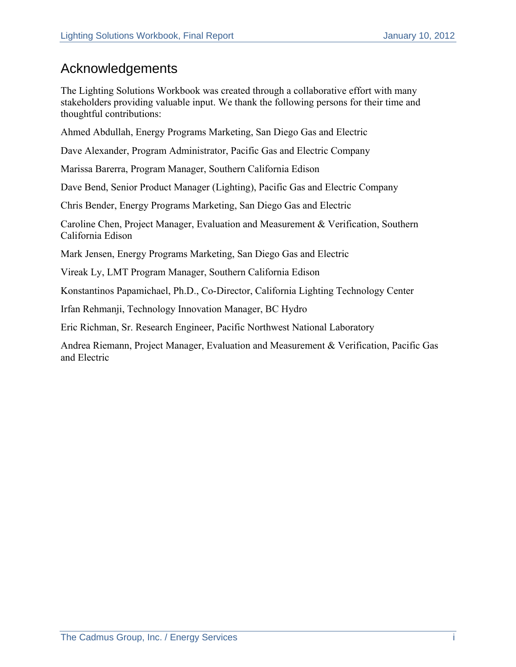### Acknowledgements

The Lighting Solutions Workbook was created through a collaborative effort with many stakeholders providing valuable input. We thank the following persons for their time and thoughtful contributions:

Ahmed Abdullah, Energy Programs Marketing, San Diego Gas and Electric

Dave Alexander, Program Administrator, Pacific Gas and Electric Company

Marissa Barerra, Program Manager, Southern California Edison

Dave Bend, Senior Product Manager (Lighting), Pacific Gas and Electric Company

Chris Bender, Energy Programs Marketing, San Diego Gas and Electric

Caroline Chen, Project Manager, Evaluation and Measurement & Verification, Southern California Edison

Mark Jensen, Energy Programs Marketing, San Diego Gas and Electric

Vireak Ly, LMT Program Manager, Southern California Edison

Konstantinos Papamichael, Ph.D., Co-Director, California Lighting Technology Center

Irfan Rehmanji, Technology Innovation Manager, BC Hydro

Eric Richman, Sr. Research Engineer, Pacific Northwest National Laboratory

Andrea Riemann, Project Manager, Evaluation and Measurement & Verification, Pacific Gas and Electric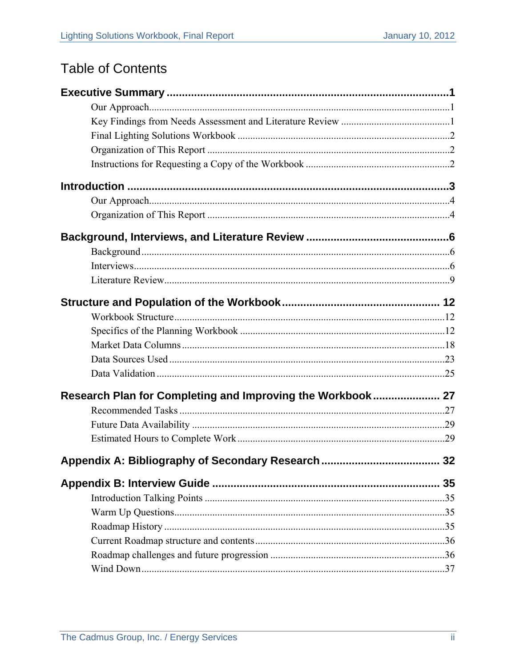# **Table of Contents**

| Research Plan for Completing and Improving the Workbook 27 |    |
|------------------------------------------------------------|----|
|                                                            |    |
|                                                            |    |
|                                                            |    |
| Appendix A: Bibliography of Secondary Research             | 32 |
|                                                            | 35 |
|                                                            |    |
|                                                            |    |
|                                                            |    |
|                                                            |    |
|                                                            |    |
|                                                            |    |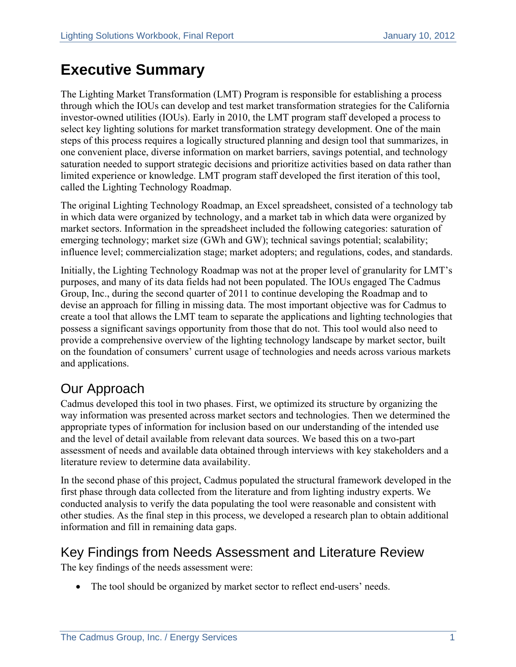# **Executive Summary**

The Lighting Market Transformation (LMT) Program is responsible for establishing a process through which the IOUs can develop and test market transformation strategies for the California investor-owned utilities (IOUs). Early in 2010, the LMT program staff developed a process to select key lighting solutions for market transformation strategy development. One of the main steps of this process requires a logically structured planning and design tool that summarizes, in one convenient place, diverse information on market barriers, savings potential, and technology saturation needed to support strategic decisions and prioritize activities based on data rather than limited experience or knowledge. LMT program staff developed the first iteration of this tool, called the Lighting Technology Roadmap.

The original Lighting Technology Roadmap, an Excel spreadsheet, consisted of a technology tab in which data were organized by technology, and a market tab in which data were organized by market sectors. Information in the spreadsheet included the following categories: saturation of emerging technology; market size (GWh and GW); technical savings potential; scalability; influence level; commercialization stage; market adopters; and regulations, codes, and standards.

Initially, the Lighting Technology Roadmap was not at the proper level of granularity for LMT's purposes, and many of its data fields had not been populated. The IOUs engaged The Cadmus Group, Inc., during the second quarter of 2011 to continue developing the Roadmap and to devise an approach for filling in missing data. The most important objective was for Cadmus to create a tool that allows the LMT team to separate the applications and lighting technologies that possess a significant savings opportunity from those that do not. This tool would also need to provide a comprehensive overview of the lighting technology landscape by market sector, built on the foundation of consumers' current usage of technologies and needs across various markets and applications.

### Our Approach

Cadmus developed this tool in two phases. First, we optimized its structure by organizing the way information was presented across market sectors and technologies. Then we determined the appropriate types of information for inclusion based on our understanding of the intended use and the level of detail available from relevant data sources. We based this on a two-part assessment of needs and available data obtained through interviews with key stakeholders and a literature review to determine data availability.

In the second phase of this project, Cadmus populated the structural framework developed in the first phase through data collected from the literature and from lighting industry experts. We conducted analysis to verify the data populating the tool were reasonable and consistent with other studies. As the final step in this process, we developed a research plan to obtain additional information and fill in remaining data gaps.

### Key Findings from Needs Assessment and Literature Review

The key findings of the needs assessment were:

• The tool should be organized by market sector to reflect end-users' needs.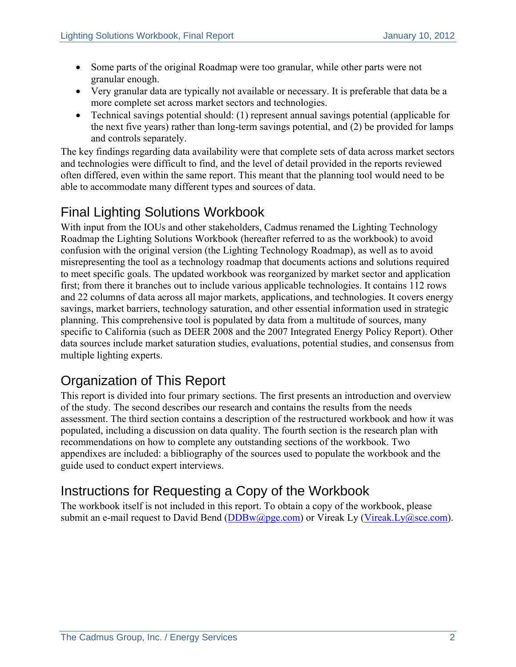- Some parts of the original Roadmap were too granular, while other parts were not granular enough.
- Very granular data are typically not available or necessary. It is preferable that data be a more complete set across market sectors and technologies.
- Technical savings potential should: (1) represent annual savings potential (applicable for the next five years) rather than long-term savings potential, and (2) be provided for lamps and controls separately.

The key findings regarding data availability were that complete sets of data across market sectors and technologies were difficult to find, and the level of detail provided in the reports reviewed often differed, even within the same report. This meant that the planning tool would need to be able to accommodate many different types and sources of data.

## Final Lighting Solutions Workbook

With input from the IOUs and other stakeholders, Cadmus renamed the Lighting Technology Roadmap the Lighting Solutions Workbook (hereafter referred to as the workbook) to avoid confusion with the original version (the Lighting Technology Roadmap), as well as to avoid misrepresenting the tool as a technology roadmap that documents actions and solutions required to meet specific goals. The updated workbook was reorganized by market sector and application first; from there it branches out to include various applicable technologies. It contains 112 rows and 22 columns of data across all major markets, applications, and technologies. It covers energy savings, market barriers, technology saturation, and other essential information used in strategic planning. This comprehensive tool is populated by data from a multitude of sources, many specific to California (such as DEER 2008 and the 2007 Integrated Energy Policy Report). Other data sources include market saturation studies, evaluations, potential studies, and consensus from multiple lighting experts.

### Organization of This Report

This report is divided into four primary sections. The first presents an introduction and overview of the study. The second describes our research and contains the results from the needs assessment. The third section contains a description of the restructured workbook and how it was populated, including a discussion on data quality. The fourth section is the research plan with recommendations on how to complete any outstanding sections of the workbook. Two appendixes are included: a bibliography of the sources used to populate the workbook and the guide used to conduct expert interviews.

## Instructions for Requesting a Copy of the Workbook

The workbook itself is not included in this report. To obtain a copy of the workbook, please submit an e-mail request to David Bend  $(DDBw@pge.com)$  or Vireak Ly (Vireak.Ly@sce.com).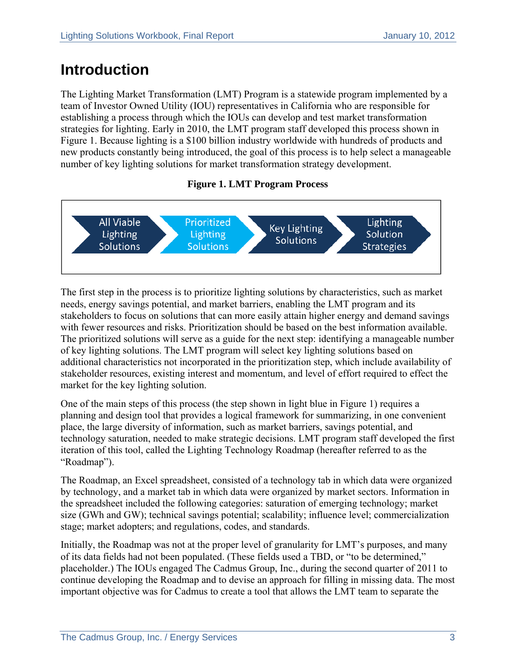# **Introduction**

The Lighting Market Transformation (LMT) Program is a statewide program implemented by a team of Investor Owned Utility (IOU) representatives in California who are responsible for establishing a process through which the IOUs can develop and test market transformation strategies for lighting. Early in 2010, the LMT program staff developed this process shown in Figure 1. Because lighting is a \$100 billion industry worldwide with hundreds of products and new products constantly being introduced, the goal of this process is to help select a manageable number of key lighting solutions for market transformation strategy development.

#### **Figure 1. LMT Program Process**



The first step in the process is to prioritize lighting solutions by characteristics, such as market needs, energy savings potential, and market barriers, enabling the LMT program and its stakeholders to focus on solutions that can more easily attain higher energy and demand savings with fewer resources and risks. Prioritization should be based on the best information available. The prioritized solutions will serve as a guide for the next step: identifying a manageable number of key lighting solutions. The LMT program will select key lighting solutions based on additional characteristics not incorporated in the prioritization step, which include availability of stakeholder resources, existing interest and momentum, and level of effort required to effect the market for the key lighting solution.

One of the main steps of this process (the step shown in light blue in Figure 1) requires a planning and design tool that provides a logical framework for summarizing, in one convenient place, the large diversity of information, such as market barriers, savings potential, and technology saturation, needed to make strategic decisions. LMT program staff developed the first iteration of this tool, called the Lighting Technology Roadmap (hereafter referred to as the "Roadmap").

The Roadmap, an Excel spreadsheet, consisted of a technology tab in which data were organized by technology, and a market tab in which data were organized by market sectors. Information in the spreadsheet included the following categories: saturation of emerging technology; market size (GWh and GW); technical savings potential; scalability; influence level; commercialization stage; market adopters; and regulations, codes, and standards.

Initially, the Roadmap was not at the proper level of granularity for LMT's purposes, and many of its data fields had not been populated. (These fields used a TBD, or "to be determined," placeholder.) The IOUs engaged The Cadmus Group, Inc., during the second quarter of 2011 to continue developing the Roadmap and to devise an approach for filling in missing data. The most important objective was for Cadmus to create a tool that allows the LMT team to separate the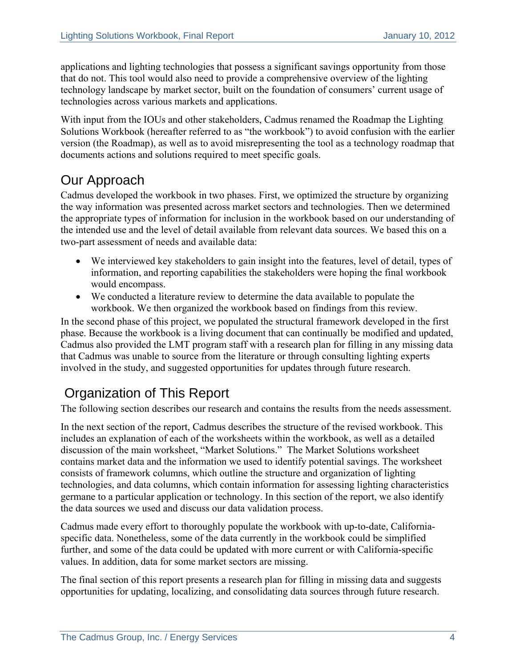applications and lighting technologies that possess a significant savings opportunity from those that do not. This tool would also need to provide a comprehensive overview of the lighting technology landscape by market sector, built on the foundation of consumers' current usage of technologies across various markets and applications.

With input from the IOUs and other stakeholders, Cadmus renamed the Roadmap the Lighting Solutions Workbook (hereafter referred to as "the workbook") to avoid confusion with the earlier version (the Roadmap), as well as to avoid misrepresenting the tool as a technology roadmap that documents actions and solutions required to meet specific goals.

### Our Approach

Cadmus developed the workbook in two phases. First, we optimized the structure by organizing the way information was presented across market sectors and technologies. Then we determined the appropriate types of information for inclusion in the workbook based on our understanding of the intended use and the level of detail available from relevant data sources. We based this on a two-part assessment of needs and available data:

- We interviewed key stakeholders to gain insight into the features, level of detail, types of information, and reporting capabilities the stakeholders were hoping the final workbook would encompass.
- We conducted a literature review to determine the data available to populate the workbook. We then organized the workbook based on findings from this review.

In the second phase of this project, we populated the structural framework developed in the first phase. Because the workbook is a living document that can continually be modified and updated, Cadmus also provided the LMT program staff with a research plan for filling in any missing data that Cadmus was unable to source from the literature or through consulting lighting experts involved in the study, and suggested opportunities for updates through future research.

## Organization of This Report

The following section describes our research and contains the results from the needs assessment.

In the next section of the report, Cadmus describes the structure of the revised workbook. This includes an explanation of each of the worksheets within the workbook, as well as a detailed discussion of the main worksheet, "Market Solutions." The Market Solutions worksheet contains market data and the information we used to identify potential savings. The worksheet consists of framework columns, which outline the structure and organization of lighting technologies, and data columns, which contain information for assessing lighting characteristics germane to a particular application or technology. In this section of the report, we also identify the data sources we used and discuss our data validation process.

Cadmus made every effort to thoroughly populate the workbook with up-to-date, Californiaspecific data. Nonetheless, some of the data currently in the workbook could be simplified further, and some of the data could be updated with more current or with California-specific values. In addition, data for some market sectors are missing.

The final section of this report presents a research plan for filling in missing data and suggests opportunities for updating, localizing, and consolidating data sources through future research.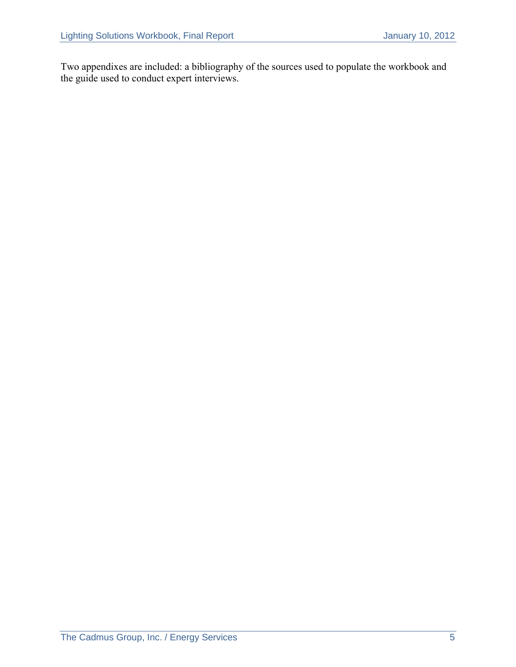Two appendixes are included: a bibliography of the sources used to populate the workbook and the guide used to conduct expert interviews.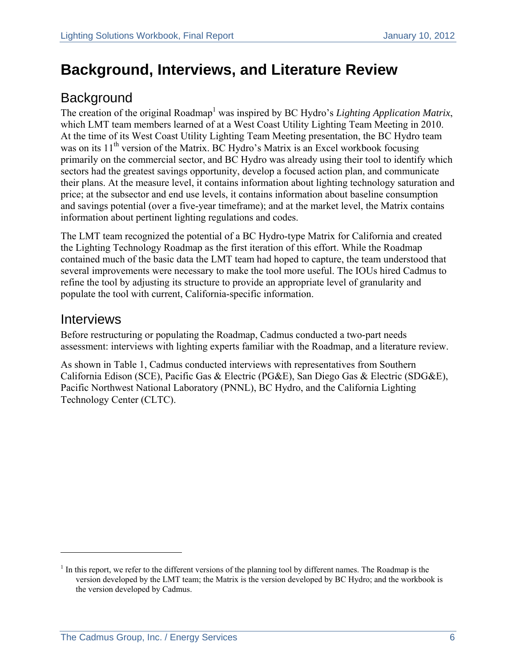# **Background, Interviews, and Literature Review**

### **Background**

The creation of the original Roadmap<sup>1</sup> was inspired by BC Hydro's *Lighting Application Matrix*, which LMT team members learned of at a West Coast Utility Lighting Team Meeting in 2010. At the time of its West Coast Utility Lighting Team Meeting presentation, the BC Hydro team was on its 11<sup>th</sup> version of the Matrix. BC Hydro's Matrix is an Excel workbook focusing primarily on the commercial sector, and BC Hydro was already using their tool to identify which sectors had the greatest savings opportunity, develop a focused action plan, and communicate their plans. At the measure level, it contains information about lighting technology saturation and price; at the subsector and end use levels, it contains information about baseline consumption and savings potential (over a five-year timeframe); and at the market level, the Matrix contains information about pertinent lighting regulations and codes.

The LMT team recognized the potential of a BC Hydro-type Matrix for California and created the Lighting Technology Roadmap as the first iteration of this effort. While the Roadmap contained much of the basic data the LMT team had hoped to capture, the team understood that several improvements were necessary to make the tool more useful. The IOUs hired Cadmus to refine the tool by adjusting its structure to provide an appropriate level of granularity and populate the tool with current, California-specific information.

#### **Interviews**

 $\overline{a}$ 

Before restructuring or populating the Roadmap, Cadmus conducted a two-part needs assessment: interviews with lighting experts familiar with the Roadmap, and a literature review.

As shown in Table 1, Cadmus conducted interviews with representatives from Southern California Edison (SCE), Pacific Gas & Electric (PG&E), San Diego Gas & Electric (SDG&E), Pacific Northwest National Laboratory (PNNL), BC Hydro, and the California Lighting Technology Center (CLTC).

 $<sup>1</sup>$  In this report, we refer to the different versions of the planning tool by different names. The Roadmap is the</sup> version developed by the LMT team; the Matrix is the version developed by BC Hydro; and the workbook is the version developed by Cadmus.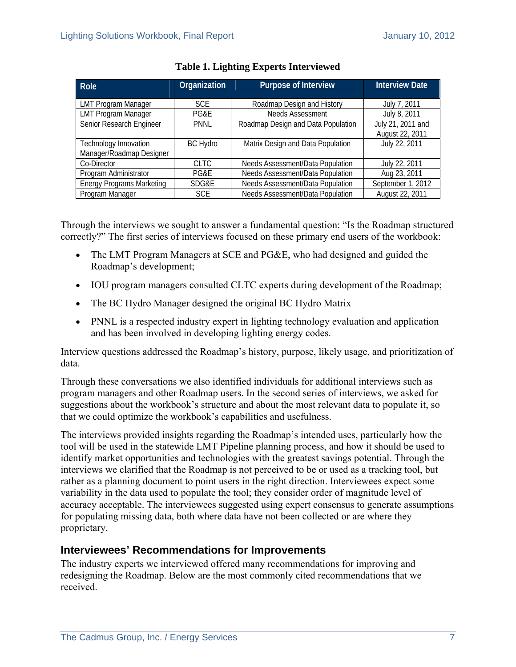| Role                             | Organization    | Purpose of Interview               | <b>Interview Date</b> |  |
|----------------------------------|-----------------|------------------------------------|-----------------------|--|
|                                  |                 |                                    |                       |  |
| <b>LMT Program Manager</b>       | <b>SCE</b>      | Roadmap Design and History         | July 7, 2011          |  |
| <b>LMT Program Manager</b>       | PG&E            | <b>Needs Assessment</b>            | July 8, 2011          |  |
| Senior Research Engineer         | <b>PNNL</b>     | Roadmap Design and Data Population | July 21, 2011 and     |  |
|                                  |                 |                                    | August 22, 2011       |  |
| Technology Innovation            | <b>BC Hydro</b> | Matrix Design and Data Population  | July 22, 2011         |  |
| Manager/Roadmap Designer         |                 |                                    |                       |  |
| Co-Director                      | <b>CLTC</b>     | Needs Assessment/Data Population   | July 22, 2011         |  |
| Program Administrator            | PG&E            | Needs Assessment/Data Population   | Aug 23, 2011          |  |
| <b>Energy Programs Marketing</b> | SDG&E           | Needs Assessment/Data Population   | September 1, 2012     |  |
| Program Manager                  | <b>SCE</b>      | Needs Assessment/Data Population   | August 22, 2011       |  |

#### **Table 1. Lighting Experts Interviewed**

Through the interviews we sought to answer a fundamental question: "Is the Roadmap structured correctly?" The first series of interviews focused on these primary end users of the workbook:

- The LMT Program Managers at SCE and PG&E, who had designed and guided the Roadmap's development;
- IOU program managers consulted CLTC experts during development of the Roadmap;
- The BC Hydro Manager designed the original BC Hydro Matrix
- PNNL is a respected industry expert in lighting technology evaluation and application and has been involved in developing lighting energy codes.

Interview questions addressed the Roadmap's history, purpose, likely usage, and prioritization of data.

Through these conversations we also identified individuals for additional interviews such as program managers and other Roadmap users. In the second series of interviews, we asked for suggestions about the workbook's structure and about the most relevant data to populate it, so that we could optimize the workbook's capabilities and usefulness.

The interviews provided insights regarding the Roadmap's intended uses, particularly how the tool will be used in the statewide LMT Pipeline planning process, and how it should be used to identify market opportunities and technologies with the greatest savings potential. Through the interviews we clarified that the Roadmap is not perceived to be or used as a tracking tool, but rather as a planning document to point users in the right direction. Interviewees expect some variability in the data used to populate the tool; they consider order of magnitude level of accuracy acceptable. The interviewees suggested using expert consensus to generate assumptions for populating missing data, both where data have not been collected or are where they proprietary.

#### **Interviewees' Recommendations for Improvements**

The industry experts we interviewed offered many recommendations for improving and redesigning the Roadmap. Below are the most commonly cited recommendations that we received.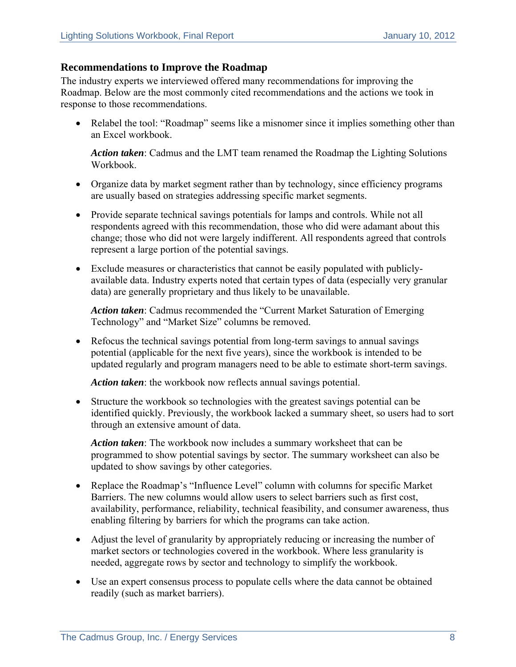#### **Recommendations to Improve the Roadmap**

The industry experts we interviewed offered many recommendations for improving the Roadmap. Below are the most commonly cited recommendations and the actions we took in response to those recommendations.

• Relabel the tool: "Roadmap" seems like a misnomer since it implies something other than an Excel workbook.

*Action taken*: Cadmus and the LMT team renamed the Roadmap the Lighting Solutions Workbook.

- Organize data by market segment rather than by technology, since efficiency programs are usually based on strategies addressing specific market segments.
- Provide separate technical savings potentials for lamps and controls. While not all respondents agreed with this recommendation, those who did were adamant about this change; those who did not were largely indifferent. All respondents agreed that controls represent a large portion of the potential savings.
- Exclude measures or characteristics that cannot be easily populated with publiclyavailable data. Industry experts noted that certain types of data (especially very granular data) are generally proprietary and thus likely to be unavailable.

*Action taken*: Cadmus recommended the "Current Market Saturation of Emerging Technology" and "Market Size" columns be removed.

 Refocus the technical savings potential from long-term savings to annual savings potential (applicable for the next five years), since the workbook is intended to be updated regularly and program managers need to be able to estimate short-term savings.

*Action taken*: the workbook now reflects annual savings potential.

 Structure the workbook so technologies with the greatest savings potential can be identified quickly. Previously, the workbook lacked a summary sheet, so users had to sort through an extensive amount of data.

*Action taken*: The workbook now includes a summary worksheet that can be programmed to show potential savings by sector. The summary worksheet can also be updated to show savings by other categories.

- Replace the Roadmap's "Influence Level" column with columns for specific Market Barriers. The new columns would allow users to select barriers such as first cost, availability, performance, reliability, technical feasibility, and consumer awareness, thus enabling filtering by barriers for which the programs can take action.
- Adjust the level of granularity by appropriately reducing or increasing the number of market sectors or technologies covered in the workbook. Where less granularity is needed, aggregate rows by sector and technology to simplify the workbook.
- Use an expert consensus process to populate cells where the data cannot be obtained readily (such as market barriers).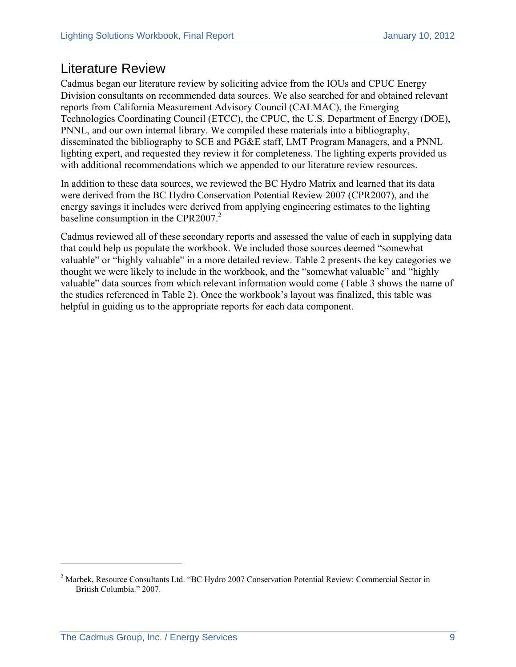### Literature Review

Cadmus began our literature review by soliciting advice from the IOUs and CPUC Energy Division consultants on recommended data sources. We also searched for and obtained relevant reports from California Measurement Advisory Council (CALMAC), the Emerging Technologies Coordinating Council (ETCC), the CPUC, the U.S. Department of Energy (DOE), PNNL, and our own internal library. We compiled these materials into a bibliography, disseminated the bibliography to SCE and PG&E staff, LMT Program Managers, and a PNNL lighting expert, and requested they review it for completeness. The lighting experts provided us with additional recommendations which we appended to our literature review resources.

In addition to these data sources, we reviewed the BC Hydro Matrix and learned that its data were derived from the BC Hydro Conservation Potential Review 2007 (CPR2007), and the energy savings it includes were derived from applying engineering estimates to the lighting baseline consumption in the CPR2007.<sup>2</sup>

Cadmus reviewed all of these secondary reports and assessed the value of each in supplying data that could help us populate the workbook. We included those sources deemed "somewhat valuable" or "highly valuable" in a more detailed review. Table 2 presents the key categories we thought we were likely to include in the workbook, and the "somewhat valuable" and "highly valuable" data sources from which relevant information would come (Table 3 shows the name of the studies referenced in Table 2). Once the workbook's layout was finalized, this table was helpful in guiding us to the appropriate reports for each data component.

 $\overline{a}$ 

<sup>&</sup>lt;sup>2</sup> Marbek, Resource Consultants Ltd. "BC Hydro 2007 Conservation Potential Review: Commercial Sector in British Columbia." 2007.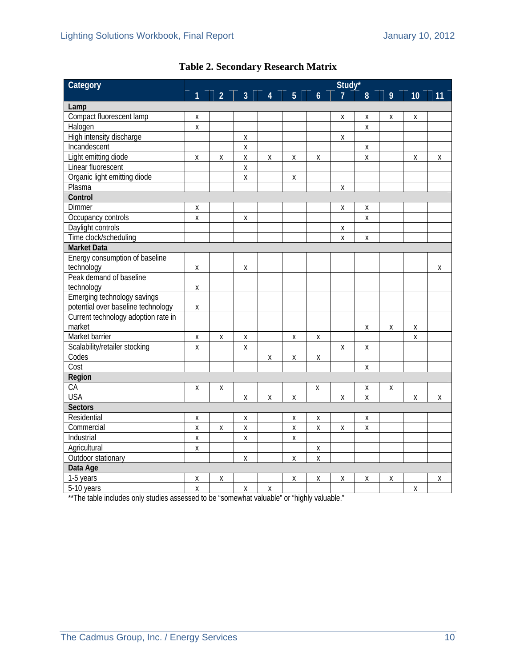| Category                            | Study*             |                    |                    |                           |                    |                    |                    |                    |   |    |    |
|-------------------------------------|--------------------|--------------------|--------------------|---------------------------|--------------------|--------------------|--------------------|--------------------|---|----|----|
|                                     | 1                  | $\overline{2}$     | 3                  | $\boldsymbol{\varLambda}$ | 5                  | $\boldsymbol{6}$   |                    | 8                  | 9 | 10 | 11 |
| Lamp                                |                    |                    |                    |                           |                    |                    |                    |                    |   |    |    |
| Compact fluorescent lamp            | X                  |                    |                    |                           |                    |                    | Χ                  | Χ                  | X | Χ  |    |
| Halogen                             | X                  |                    |                    |                           |                    |                    |                    | $\mathsf{X}$       |   |    |    |
| High intensity discharge            |                    |                    | $\pmb{\mathsf{X}}$ |                           |                    |                    | $\pmb{\mathsf{X}}$ |                    |   |    |    |
| Incandescent                        |                    |                    | Χ                  |                           |                    |                    |                    | Χ                  |   |    |    |
| Light emitting diode                | Χ                  | Χ                  | $\pmb{\mathsf{X}}$ | Χ                         | Χ                  | Χ                  |                    | $\pmb{\mathsf{X}}$ |   | Χ  | Χ  |
| Linear fluorescent                  |                    |                    | Χ                  |                           |                    |                    |                    |                    |   |    |    |
| Organic light emitting diode        |                    |                    | Χ                  |                           | Χ                  |                    |                    |                    |   |    |    |
| Plasma                              |                    |                    |                    |                           |                    |                    | Χ                  |                    |   |    |    |
| Control                             |                    |                    |                    |                           |                    |                    |                    |                    |   |    |    |
| <b>Dimmer</b>                       | Χ                  |                    |                    |                           |                    |                    | Χ                  | Χ                  |   |    |    |
| Occupancy controls                  | Χ                  |                    | Χ                  |                           |                    |                    |                    | Χ                  |   |    |    |
| Daylight controls                   |                    |                    |                    |                           |                    |                    | Χ                  |                    |   |    |    |
| Time clock/scheduling               |                    |                    |                    |                           |                    |                    | X                  | X                  |   |    |    |
| <b>Market Data</b>                  |                    |                    |                    |                           |                    |                    |                    |                    |   |    |    |
| Energy consumption of baseline      |                    |                    |                    |                           |                    |                    |                    |                    |   |    |    |
| technology                          | Χ                  |                    | Χ                  |                           |                    |                    |                    |                    |   |    | Χ  |
| Peak demand of baseline             |                    |                    |                    |                           |                    |                    |                    |                    |   |    |    |
| technology                          | Χ                  |                    |                    |                           |                    |                    |                    |                    |   |    |    |
| Emerging technology savings         |                    |                    |                    |                           |                    |                    |                    |                    |   |    |    |
| potential over baseline technology  | Χ                  |                    |                    |                           |                    |                    |                    |                    |   |    |    |
| Current technology adoption rate in |                    |                    |                    |                           |                    |                    |                    |                    |   |    |    |
| market                              |                    |                    |                    |                           |                    |                    |                    | Χ                  | Χ | Χ  |    |
| Market barrier                      | $\pmb{\mathsf{X}}$ | $\pmb{\mathsf{X}}$ | $\pmb{\mathsf{X}}$ |                           | X                  | Χ                  |                    |                    |   | Χ  |    |
| Scalability/retailer stocking       | Χ                  |                    | Χ                  |                           |                    |                    | $\mathsf X$        | Χ                  |   |    |    |
| Codes                               |                    |                    |                    | Χ                         | Χ                  | $\pmb{\mathsf{X}}$ |                    |                    |   |    |    |
| Cost                                |                    |                    |                    |                           |                    |                    |                    | Χ                  |   |    |    |
| Region                              |                    |                    |                    |                           |                    |                    |                    |                    |   |    |    |
| CA                                  | Χ                  | Χ                  |                    |                           |                    | Χ                  |                    | Χ                  | Χ |    |    |
| <b>USA</b>                          |                    |                    | Χ                  | Χ                         | Χ                  |                    | Χ                  | X                  |   | Χ  | X  |
| <b>Sectors</b>                      |                    |                    |                    |                           |                    |                    |                    |                    |   |    |    |
| Residential                         | Χ                  |                    | Χ                  |                           | $\pmb{\mathsf{X}}$ | $\pmb{\mathsf{X}}$ |                    | $\pmb{\mathsf{X}}$ |   |    |    |
| Commercial                          | Χ                  | Χ                  | Χ                  |                           | Χ                  | Χ                  | Χ                  | Χ                  |   |    |    |
| Industrial                          | $\pmb{\chi}$       |                    | X                  |                           | Χ                  |                    |                    |                    |   |    |    |
| Agricultural                        | Χ                  |                    |                    |                           |                    | Χ                  |                    |                    |   |    |    |
| Outdoor stationary                  |                    |                    | Χ                  |                           | Χ                  | X                  |                    |                    |   |    |    |
| Data Age                            |                    |                    |                    |                           |                    |                    |                    |                    |   |    |    |
| 1-5 years                           | Χ                  | Χ                  |                    |                           | Χ                  | Χ                  | Χ                  | Χ                  | Χ |    | Χ  |
| 5-10 years                          | $\pmb{\chi}$       |                    | Χ                  | Χ                         |                    |                    |                    |                    |   | Χ  |    |

### **Table 2. Secondary Research Matrix**

\*\*The table includes only studies assessed to be "somewhat valuable" or "highly valuable."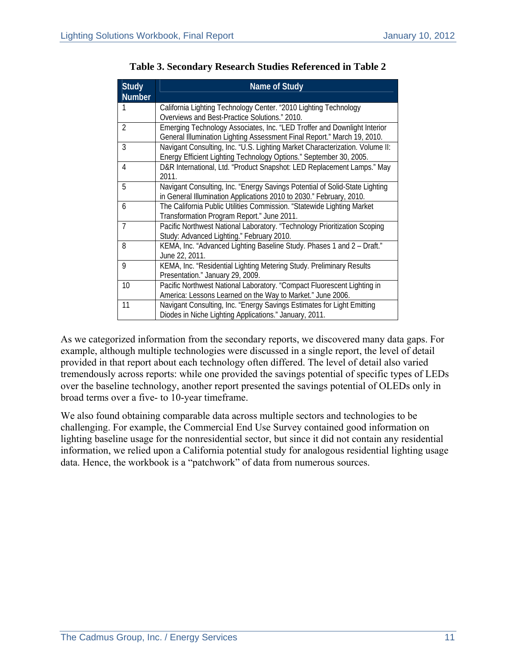| <b>Study</b>    | <b>Name of Study</b>                                                         |
|-----------------|------------------------------------------------------------------------------|
| Number          |                                                                              |
|                 | California Lighting Technology Center. "2010 Lighting Technology             |
|                 | Overviews and Best-Practice Solutions." 2010.                                |
| $\overline{2}$  | Emerging Technology Associates, Inc. "LED Troffer and Downlight Interior     |
|                 | General Illumination Lighting Assessment Final Report." March 19, 2010.      |
| $\overline{3}$  | Navigant Consulting, Inc. "U.S. Lighting Market Characterization. Volume II: |
|                 | Energy Efficient Lighting Technology Options." September 30, 2005.           |
| $\overline{4}$  | D&R International, Ltd. "Product Snapshot: LED Replacement Lamps." May       |
|                 | 2011.                                                                        |
| $\overline{5}$  | Navigant Consulting, Inc. "Energy Savings Potential of Solid-State Lighting  |
|                 | in General Illumination Applications 2010 to 2030." February, 2010.          |
| 6               | The California Public Utilities Commission. "Statewide Lighting Market       |
|                 | Transformation Program Report." June 2011.                                   |
| $\overline{7}$  | Pacific Northwest National Laboratory. "Technology Prioritization Scoping    |
|                 | Study: Advanced Lighting." February 2010.                                    |
| $\overline{8}$  | KEMA, Inc. "Advanced Lighting Baseline Study. Phases 1 and 2 - Draft."       |
|                 | June 22, 2011.                                                               |
| $\overline{9}$  | KEMA, Inc. "Residential Lighting Metering Study. Preliminary Results         |
|                 | Presentation." January 29, 2009.                                             |
| $\overline{10}$ | Pacific Northwest National Laboratory. "Compact Fluorescent Lighting in      |
|                 | America: Lessons Learned on the Way to Market." June 2006.                   |
| 11              | Navigant Consulting, Inc. "Energy Savings Estimates for Light Emitting       |
|                 | Diodes in Niche Lighting Applications." January, 2011.                       |

**Table 3. Secondary Research Studies Referenced in Table 2** 

As we categorized information from the secondary reports, we discovered many data gaps. For example, although multiple technologies were discussed in a single report, the level of detail provided in that report about each technology often differed. The level of detail also varied tremendously across reports: while one provided the savings potential of specific types of LEDs over the baseline technology, another report presented the savings potential of OLEDs only in broad terms over a five- to 10-year timeframe.

We also found obtaining comparable data across multiple sectors and technologies to be challenging. For example, the Commercial End Use Survey contained good information on lighting baseline usage for the nonresidential sector, but since it did not contain any residential information, we relied upon a California potential study for analogous residential lighting usage data. Hence, the workbook is a "patchwork" of data from numerous sources.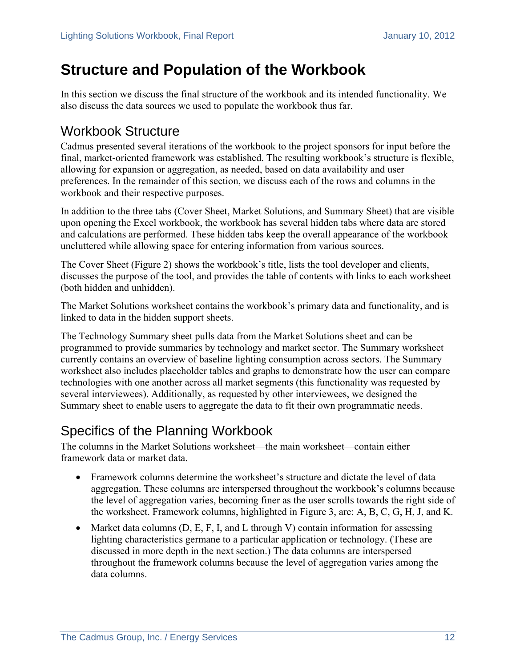# **Structure and Population of the Workbook**

In this section we discuss the final structure of the workbook and its intended functionality. We also discuss the data sources we used to populate the workbook thus far.

### Workbook Structure

Cadmus presented several iterations of the workbook to the project sponsors for input before the final, market-oriented framework was established. The resulting workbook's structure is flexible, allowing for expansion or aggregation, as needed, based on data availability and user preferences. In the remainder of this section, we discuss each of the rows and columns in the workbook and their respective purposes.

In addition to the three tabs (Cover Sheet, Market Solutions, and Summary Sheet) that are visible upon opening the Excel workbook, the workbook has several hidden tabs where data are stored and calculations are performed. These hidden tabs keep the overall appearance of the workbook uncluttered while allowing space for entering information from various sources.

The Cover Sheet (Figure 2) shows the workbook's title, lists the tool developer and clients, discusses the purpose of the tool, and provides the table of contents with links to each worksheet (both hidden and unhidden).

The Market Solutions worksheet contains the workbook's primary data and functionality, and is linked to data in the hidden support sheets.

The Technology Summary sheet pulls data from the Market Solutions sheet and can be programmed to provide summaries by technology and market sector. The Summary worksheet currently contains an overview of baseline lighting consumption across sectors. The Summary worksheet also includes placeholder tables and graphs to demonstrate how the user can compare technologies with one another across all market segments (this functionality was requested by several interviewees). Additionally, as requested by other interviewees, we designed the Summary sheet to enable users to aggregate the data to fit their own programmatic needs.

### Specifics of the Planning Workbook

The columns in the Market Solutions worksheet—the main worksheet—contain either framework data or market data.

- Framework columns determine the worksheet's structure and dictate the level of data aggregation. These columns are interspersed throughout the workbook's columns because the level of aggregation varies, becoming finer as the user scrolls towards the right side of the worksheet. Framework columns, highlighted in Figure 3, are: A, B, C, G, H, J, and K.
- Market data columns  $(D, E, F, I, and L)$  through V) contain information for assessing lighting characteristics germane to a particular application or technology. (These are discussed in more depth in the next section.) The data columns are interspersed throughout the framework columns because the level of aggregation varies among the data columns.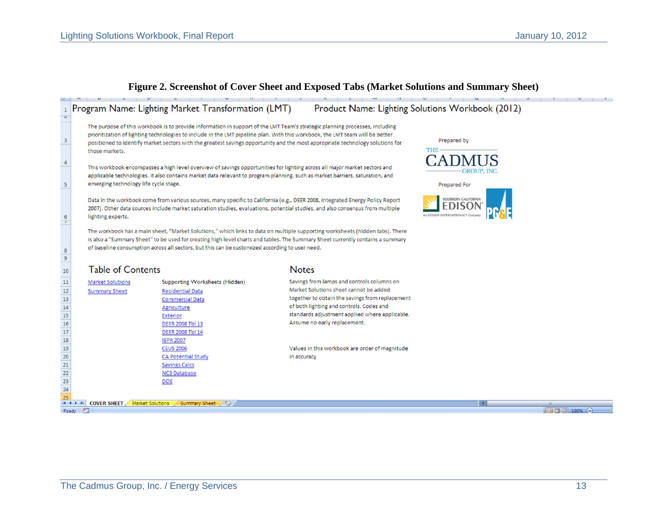#### Program Name: Lighting Market Transformation (LMT) Product Name: Lighting Solutions Workbook (2012)  $\mathbf{1}$  $\overline{a}$ The purpose of this workbook is to provide information in support of the LMT Team's strategic planning processes, including prioritization of lighting technologies to include in the LMT pipeline plan. With this workbook, the LMT team will be better  $\overline{\mathbf{3}}$ Prepared by positioned to identify market sectors with the greatest savings opportunity and the most appropriate technology solutions for **THE** those markets.  $A^T \mathbf{D}$  $\sqrt{4}$ This workbook encompasses a high level overview of savings opportunities for lighting across all major market sectors and applicable technologies. It also contains market data relevant to program planning, such as market barriers, saturation, and 5 emerging technology life cycle stage. Prepared For Data in the workbook come from various sources, many specific to California (e.g., DEER 2008, Integrated Energy Policy Report 2007). Other data sources include market saturation studies, evaluations, potential studies, and also consensus from multiple lighting experts.  $\frac{6}{l}$ The workbook has a main sheet, "Market Solutions," which links to data on multiple supporting worksheets (hidden tabs). There is also a "Summary Sheet" to be used for creating high level charts and tables. The Summary Sheet currently contains a summary of baseline consumption across all sectors, but this can be customized according to user need.  $\,$  8  $\overline{9}$ **Table of Contents Notes** 10  $\frac{1}{11}$ Savings from lamps and controls columns on Supporting Worksheets (Hidden) **Market Solutions**  $\frac{1}{12}$ Market Solutions sheet cannot be added **Residential Data Summary Sheet**  $13$ together to obtain the savings from replacement **Commercial Data**  $14$ of both lighting and controls. Codes and Agriculture standards adjustment applied where applicable. 15 Exterior 16 Assume no early replacement. **DEER 2008 Tbl 13**  $17$ **DEER 2008 Tbl 14** 18 **IEPR 2007** 19 **CEUS 2006** Values in this workbook are order of magnitude  $20$ **CA Potential Study** in accuracy  $\overline{21}$ **Savings Calcs**  $\overline{22}$ NC3 Database  $23$ DOE  $\overline{24}$ 25 IN 4 D DI COVER SHEET Market Solutions Summary Sheet (2) Ready

#### **Figure 2. Screenshot of Cover Sheet and Exposed Tabs (Market Solutions and Summary Sheet)**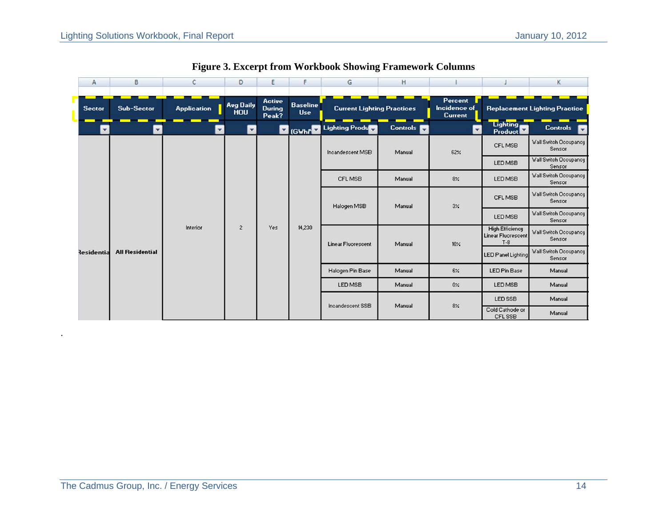| Α                    | B                      | C                  | D                              | E                                       | F                             | G                                 | н                 |                                                  |                            | Κ                                      |                                 |  |  |                           |                                        |  |  |  |  |                            |        |  |  |                           |        |     |                                                              |
|----------------------|------------------------|--------------------|--------------------------------|-----------------------------------------|-------------------------------|-----------------------------------|-------------------|--------------------------------------------------|----------------------------|----------------------------------------|---------------------------------|--|--|---------------------------|----------------------------------------|--|--|--|--|----------------------------|--------|--|--|---------------------------|--------|-----|--------------------------------------------------------------|
| <b>Sector</b>        | Sub-Sector             | <b>Application</b> | <b>Avg Daily</b><br><b>HOU</b> | <b>Active</b><br><b>During</b><br>Peak? | <b>Baseline</b><br><b>Use</b> | <b>Current Lighting Practices</b> |                   | <b>Percent</b><br>Incidence of<br><b>Current</b> |                            | <b>Replacement Lighting Practice</b>   |                                 |  |  |                           |                                        |  |  |  |  |                            |        |  |  |                           |        |     |                                                              |
| $\blacktriangledown$ | $\blacktriangledown$   | ۳                  | $\blacktriangledown$           |                                         |                               | <b>Y</b> (GWhr C Lighting Product | Controls <b>T</b> | $\overline{\mathbf{v}}$                          | Lighting<br><b>Product</b> | <b>Controls</b>                        |                                 |  |  |                           |                                        |  |  |  |  |                            |        |  |  |                           |        |     |                                                              |
|                      |                        |                    |                                |                                         |                               | Incandescent MSB                  | Manual            | 62%                                              | CFL MSB                    | <b>Wall Switch Occupancy</b><br>Sensor |                                 |  |  |                           |                                        |  |  |  |  |                            |        |  |  |                           |        |     |                                                              |
|                      |                        |                    |                                |                                         |                               |                                   |                   |                                                  | LED MSB                    | <b>Wall Switch Occupancy</b><br>Sensor |                                 |  |  |                           |                                        |  |  |  |  |                            |        |  |  |                           |        |     |                                                              |
|                      |                        |                    |                                |                                         |                               |                                   | CFL MSB           | Manual                                           | 8%                         | LED MSB                                | Wall Switch Occupancy<br>Sensor |  |  |                           |                                        |  |  |  |  |                            |        |  |  |                           |        |     |                                                              |
|                      |                        |                    |                                | Halogen MSB                             | Manual                        | $3\%$                             | CFL MSB           | <b>Wall Switch Occupancy</b><br>Sensor           |                            |                                        |                                 |  |  |                           |                                        |  |  |  |  |                            |        |  |  |                           |        |     |                                                              |
|                      |                        |                    | $\overline{2}$<br>Yes          |                                         |                               |                                   |                   |                                                  | LED MSB                    | <b>Wall Switch Occupancy</b><br>Sensor |                                 |  |  |                           |                                        |  |  |  |  |                            |        |  |  |                           |        |     |                                                              |
|                      |                        | Interior           |                                |                                         |                               |                                   |                   |                                                  |                            |                                        |                                 |  |  |                           | 14,230                                 |  |  |  |  |                            |        |  |  | <b>Linear Fluorescent</b> | Manual | 10% | <b>High Efficiency</b><br><b>Linear Fluorescent</b><br>$T-8$ |
| <b>Residentia</b>    | <b>All Residential</b> |                    |                                |                                         |                               |                                   |                   |                                                  |                            |                                        |                                 |  |  | <b>LED Panel Lighting</b> | <b>Wall Switch Occupancy</b><br>Sensor |  |  |  |  |                            |        |  |  |                           |        |     |                                                              |
|                      |                        |                    |                                |                                         |                               |                                   | Halogen Pin Base  | Manual                                           | $6\%$                      | LED Pin Base                           | Manual                          |  |  |                           |                                        |  |  |  |  |                            |        |  |  |                           |        |     |                                                              |
|                      |                        |                    |                                |                                         |                               | LED MSB                           | Manual            | $0\%$                                            | LED MSB                    | Manual                                 |                                 |  |  |                           |                                        |  |  |  |  |                            |        |  |  |                           |        |     |                                                              |
|                      |                        |                    |                                |                                         |                               | Incandescent SSB                  | Manual            | $8\%$                                            | LED SSB                    | Manual                                 |                                 |  |  |                           |                                        |  |  |  |  |                            |        |  |  |                           |        |     |                                                              |
|                      |                        |                    |                                |                                         |                               |                                   |                   |                                                  |                            |                                        |                                 |  |  |                           |                                        |  |  |  |  | Cold Cathode or<br>CFL SSB | Manual |  |  |                           |        |     |                                                              |

**Figure 3. Excerpt from Workbook Showing Framework Columns**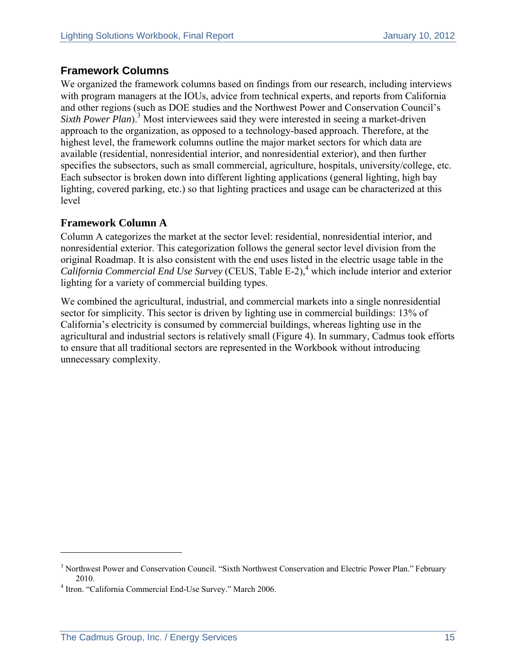#### **Framework Columns**

We organized the framework columns based on findings from our research, including interviews with program managers at the IOUs, advice from technical experts, and reports from California and other regions (such as DOE studies and the Northwest Power and Conservation Council's Sixth Power Plan<sup>3</sup> Most interviewees said they were interested in seeing a market-driven approach to the organization, as opposed to a technology-based approach. Therefore, at the highest level, the framework columns outline the major market sectors for which data are available (residential, nonresidential interior, and nonresidential exterior), and then further specifies the subsectors, such as small commercial, agriculture, hospitals, university/college, etc. Each subsector is broken down into different lighting applications (general lighting, high bay lighting, covered parking, etc.) so that lighting practices and usage can be characterized at this level

#### **Framework Column A**

Column A categorizes the market at the sector level: residential, nonresidential interior, and nonresidential exterior. This categorization follows the general sector level division from the original Roadmap. It is also consistent with the end uses listed in the electric usage table in the California Commercial End Use Survey (CEUS, Table E-2),<sup>4</sup> which include interior and exterior lighting for a variety of commercial building types.

We combined the agricultural, industrial, and commercial markets into a single nonresidential sector for simplicity. This sector is driven by lighting use in commercial buildings: 13% of California's electricity is consumed by commercial buildings, whereas lighting use in the agricultural and industrial sectors is relatively small (Figure 4). In summary, Cadmus took efforts to ensure that all traditional sectors are represented in the Workbook without introducing unnecessary complexity.

 $\overline{a}$ 

<sup>&</sup>lt;sup>3</sup> Northwest Power and Conservation Council. "Sixth Northwest Conservation and Electric Power Plan." February

<sup>2010. 4</sup> Itron. "California Commercial End-Use Survey." March 2006.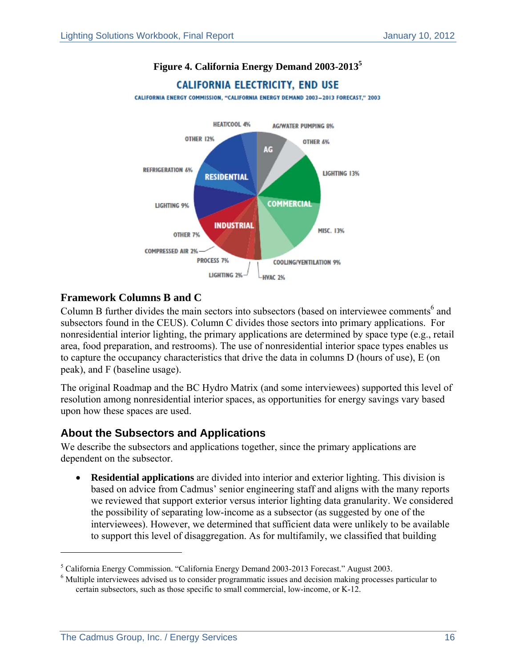

#### **Figure 4. California Energy Demand 2003-2013<sup>5</sup>**

#### **Framework Columns B and C**

Column B further divides the main sectors into subsectors (based on interviewee comments $<sup>6</sup>$  and</sup> subsectors found in the CEUS). Column C divides those sectors into primary applications. For nonresidential interior lighting, the primary applications are determined by space type (e.g., retail area, food preparation, and restrooms). The use of nonresidential interior space types enables us to capture the occupancy characteristics that drive the data in columns D (hours of use), E (on peak), and F (baseline usage).

The original Roadmap and the BC Hydro Matrix (and some interviewees) supported this level of resolution among nonresidential interior spaces, as opportunities for energy savings vary based upon how these spaces are used.

#### **About the Subsectors and Applications**

We describe the subsectors and applications together, since the primary applications are dependent on the subsector.

 **Residential applications** are divided into interior and exterior lighting. This division is based on advice from Cadmus' senior engineering staff and aligns with the many reports we reviewed that support exterior versus interior lighting data granularity. We considered the possibility of separating low-income as a subsector (as suggested by one of the interviewees). However, we determined that sufficient data were unlikely to be available to support this level of disaggregation. As for multifamily, we classified that building

 $\overline{\phantom{a}}$ 

 $^5$  California Energy Commission. "California Energy Demand 2003-2013 Forecast." August 2003.

<sup>&</sup>lt;sup>6</sup> Multiple interviewees advised us to consider programmatic issues and decision making processes particular to certain subsectors, such as those specific to small commercial, low-income, or K-12.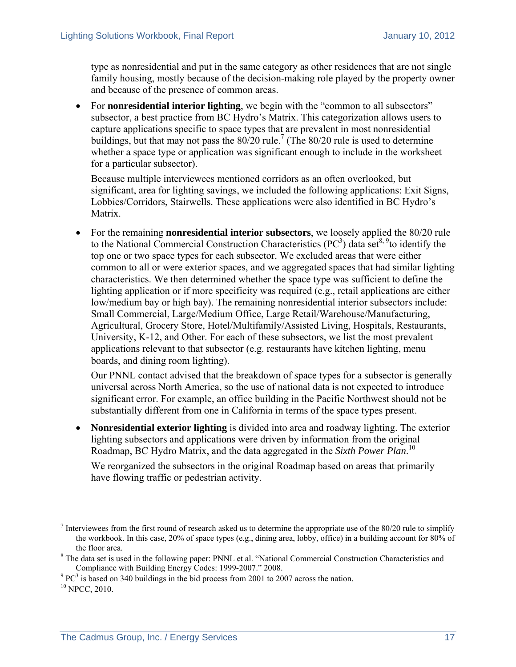type as nonresidential and put in the same category as other residences that are not single family housing, mostly because of the decision-making role played by the property owner and because of the presence of common areas.

• For **nonresidential interior lighting**, we begin with the "common to all subsectors" subsector, a best practice from BC Hydro's Matrix. This categorization allows users to capture applications specific to space types that are prevalent in most nonresidential buildings, but that may not pass the  $80/20$  rule.<sup>7</sup> (The  $80/20$  rule is used to determine whether a space type or application was significant enough to include in the worksheet for a particular subsector).

Because multiple interviewees mentioned corridors as an often overlooked, but significant, area for lighting savings, we included the following applications: Exit Signs, Lobbies/Corridors, Stairwells. These applications were also identified in BC Hydro's Matrix.

 For the remaining **nonresidential interior subsectors**, we loosely applied the 80/20 rule to the National Commercial Construction Characteristics  $(PC^3)$  data set<sup>8, 9</sup>to identify the top one or two space types for each subsector. We excluded areas that were either common to all or were exterior spaces, and we aggregated spaces that had similar lighting characteristics. We then determined whether the space type was sufficient to define the lighting application or if more specificity was required (e.g., retail applications are either low/medium bay or high bay). The remaining nonresidential interior subsectors include: Small Commercial, Large/Medium Office, Large Retail/Warehouse/Manufacturing, Agricultural, Grocery Store, Hotel/Multifamily/Assisted Living, Hospitals, Restaurants, University, K-12, and Other. For each of these subsectors, we list the most prevalent applications relevant to that subsector (e.g. restaurants have kitchen lighting, menu boards, and dining room lighting).

Our PNNL contact advised that the breakdown of space types for a subsector is generally universal across North America, so the use of national data is not expected to introduce significant error. For example, an office building in the Pacific Northwest should not be substantially different from one in California in terms of the space types present.

 **Nonresidential exterior lighting** is divided into area and roadway lighting. The exterior lighting subsectors and applications were driven by information from the original Roadmap, BC Hydro Matrix, and the data aggregated in the *Sixth Power Plan*. 10

We reorganized the subsectors in the original Roadmap based on areas that primarily have flowing traffic or pedestrian activity.

1

 $<sup>7</sup>$  Interviewees from the first round of research asked us to determine the appropriate use of the 80/20 rule to simplify</sup> the workbook. In this case, 20% of space types (e.g., dining area, lobby, office) in a building account for 80% of

the floor area.<br><sup>8</sup> The data set is used in the following paper: PNNL et al. "National Commercial Construction Characteristics and

Compliance with Building Energy Codes: 1999-2007." 2008.<br><sup>9</sup> PC<sup>3</sup> is based on 340 buildings in the bid process from 2001 to 2007 across the nation.<br><sup>10</sup> NPCC, 2010.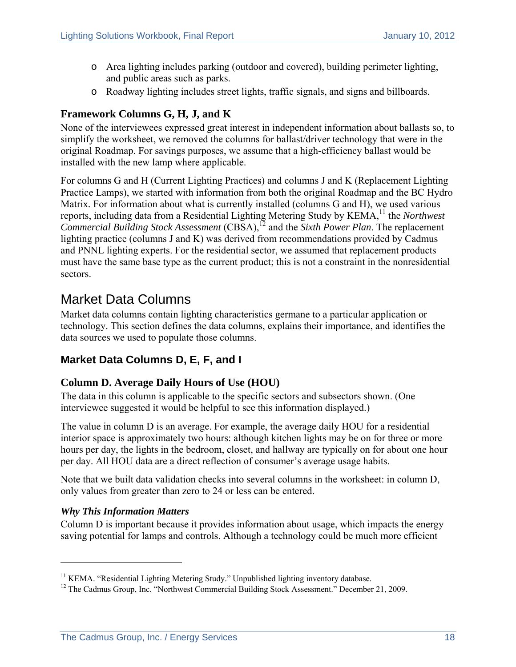- o Area lighting includes parking (outdoor and covered), building perimeter lighting, and public areas such as parks.
- o Roadway lighting includes street lights, traffic signals, and signs and billboards.

#### **Framework Columns G, H, J, and K**

None of the interviewees expressed great interest in independent information about ballasts so, to simplify the worksheet, we removed the columns for ballast/driver technology that were in the original Roadmap. For savings purposes, we assume that a high-efficiency ballast would be installed with the new lamp where applicable.

For columns G and H (Current Lighting Practices) and columns J and K (Replacement Lighting Practice Lamps), we started with information from both the original Roadmap and the BC Hydro Matrix*.* For information about what is currently installed (columns G and H), we used various reports, including data from a Residential Lighting Metering Study by KEMA,<sup>11</sup> the *Northwest Commercial Building Stock Assessment* (CBSA),12 and the *Sixth Power Plan*. The replacement lighting practice (columns J and K) was derived from recommendations provided by Cadmus and PNNL lighting experts. For the residential sector, we assumed that replacement products must have the same base type as the current product; this is not a constraint in the nonresidential sectors.

### Market Data Columns

Market data columns contain lighting characteristics germane to a particular application or technology. This section defines the data columns, explains their importance, and identifies the data sources we used to populate those columns.

#### **Market Data Columns D, E, F, and I**

#### **Column D. Average Daily Hours of Use (HOU)**

The data in this column is applicable to the specific sectors and subsectors shown. (One interviewee suggested it would be helpful to see this information displayed.)

The value in column D is an average. For example, the average daily HOU for a residential interior space is approximately two hours: although kitchen lights may be on for three or more hours per day, the lights in the bedroom, closet, and hallway are typically on for about one hour per day. All HOU data are a direct reflection of consumer's average usage habits.

Note that we built data validation checks into several columns in the worksheet: in column D, only values from greater than zero to 24 or less can be entered.

#### *Why This Information Matters*

 $\overline{a}$ 

Column D is important because it provides information about usage, which impacts the energy saving potential for lamps and controls. Although a technology could be much more efficient

<sup>&</sup>lt;sup>11</sup> KEMA. "Residential Lighting Metering Study." Unpublished lighting inventory database. <sup>12</sup> The Cadmus Group, Inc. "Northwest Commercial Building Stock Assessment." December 21, 2009.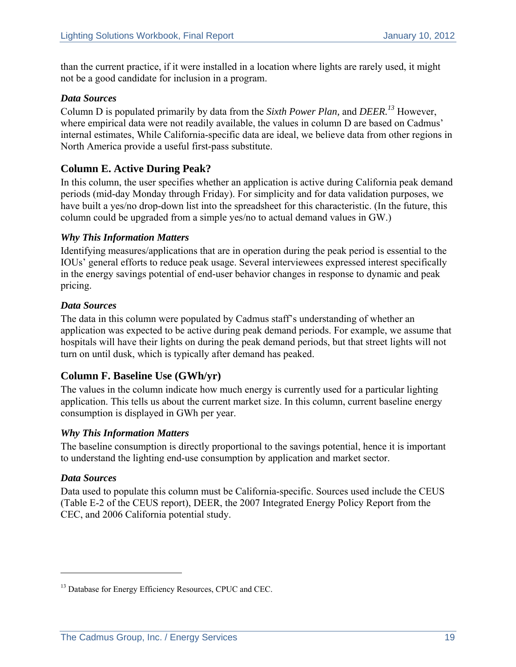than the current practice, if it were installed in a location where lights are rarely used, it might not be a good candidate for inclusion in a program.

#### *Data Sources*

Column D is populated primarily by data from the *Sixth Power Plan,* and *DEER.<sup>13</sup>* However, where empirical data were not readily available, the values in column D are based on Cadmus' internal estimates, While California-specific data are ideal, we believe data from other regions in North America provide a useful first-pass substitute.

#### **Column E. Active During Peak?**

In this column, the user specifies whether an application is active during California peak demand periods (mid-day Monday through Friday). For simplicity and for data validation purposes, we have built a yes/no drop-down list into the spreadsheet for this characteristic. (In the future, this column could be upgraded from a simple yes/no to actual demand values in GW.)

#### *Why This Information Matters*

Identifying measures/applications that are in operation during the peak period is essential to the IOUs' general efforts to reduce peak usage. Several interviewees expressed interest specifically in the energy savings potential of end-user behavior changes in response to dynamic and peak pricing.

#### *Data Sources*

The data in this column were populated by Cadmus staff's understanding of whether an application was expected to be active during peak demand periods. For example, we assume that hospitals will have their lights on during the peak demand periods, but that street lights will not turn on until dusk, which is typically after demand has peaked.

#### **Column F. Baseline Use (GWh/yr)**

The values in the column indicate how much energy is currently used for a particular lighting application. This tells us about the current market size. In this column, current baseline energy consumption is displayed in GWh per year.

#### *Why This Information Matters*

The baseline consumption is directly proportional to the savings potential, hence it is important to understand the lighting end-use consumption by application and market sector.

#### *Data Sources*

 $\overline{a}$ 

Data used to populate this column must be California-specific. Sources used include the CEUS (Table E-2 of the CEUS report), DEER, the 2007 Integrated Energy Policy Report from the CEC, and 2006 California potential study.

<sup>&</sup>lt;sup>13</sup> Database for Energy Efficiency Resources, CPUC and CEC.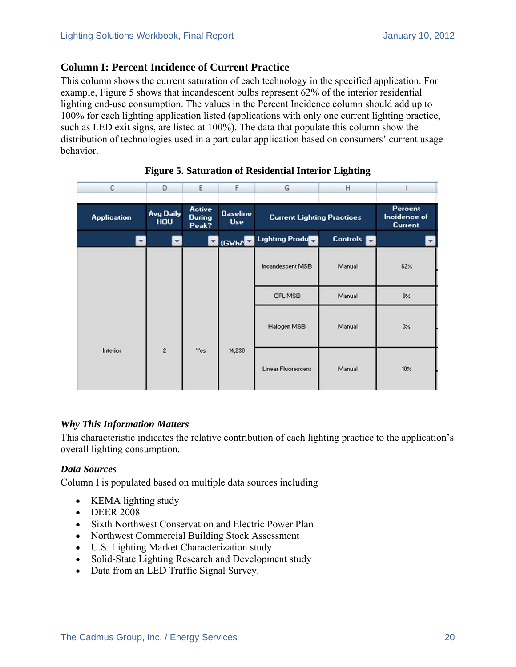#### **Column I: Percent Incidence of Current Practice**

This column shows the current saturation of each technology in the specified application. For example, Figure 5 shows that incandescent bulbs represent 62% of the interior residential lighting end-use consumption. The values in the Percent Incidence column should add up to 100% for each lighting application listed (applications with only one current lighting practice, such as LED exit signs, are listed at 100%). The data that populate this column show the distribution of technologies used in a particular application based on consumers' current usage behavior.

| c                  | D                              | E                                | F                             | G                                 | н               |                                                  |
|--------------------|--------------------------------|----------------------------------|-------------------------------|-----------------------------------|-----------------|--------------------------------------------------|
|                    |                                |                                  |                               |                                   |                 |                                                  |
| <b>Application</b> | <b>Avg Daily</b><br><b>HOU</b> | <b>Active</b><br>During<br>Peak? | <b>Baseline</b><br><b>Use</b> | <b>Current Lighting Practices</b> |                 | <b>Percent</b><br>Incidence of<br><b>Current</b> |
|                    | ▼                              |                                  | (GWhAN                        | <b>Lighting Product</b>           | <b>Controls</b> |                                                  |
|                    |                                |                                  |                               | Incandescent MSB                  | Manual          | 62%                                              |
|                    |                                |                                  |                               | CFL MSB                           | Manual          | $8\%$                                            |
|                    |                                |                                  |                               | Halogen MSB                       | Manual          | $3\%$                                            |
| Interior           | $\sqrt{2}$                     | Yes                              | 14,230                        | Linear Fluorescent                | Manual          | 10%                                              |

#### **Figure 5. Saturation of Residential Interior Lighting**

#### *Why This Information Matters*

This characteristic indicates the relative contribution of each lighting practice to the application's overall lighting consumption.

#### *Data Sources*

Column I is populated based on multiple data sources including

- KEMA lighting study
- DEER 2008
- Sixth Northwest Conservation and Electric Power Plan
- Northwest Commercial Building Stock Assessment
- U.S. Lighting Market Characterization study
- Solid-State Lighting Research and Development study
- Data from an LED Traffic Signal Survey.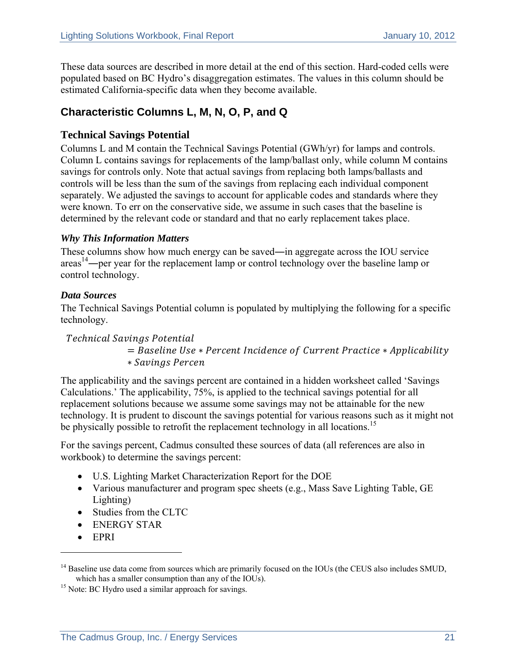These data sources are described in more detail at the end of this section. Hard-coded cells were populated based on BC Hydro's disaggregation estimates. The values in this column should be estimated California-specific data when they become available.

#### **Characteristic Columns L, M, N, O, P, and Q**

#### **Technical Savings Potential**

Columns L and M contain the Technical Savings Potential (GWh/yr) for lamps and controls. Column L contains savings for replacements of the lamp/ballast only, while column M contains savings for controls only. Note that actual savings from replacing both lamps/ballasts and controls will be less than the sum of the savings from replacing each individual component separately. We adjusted the savings to account for applicable codes and standards where they were known. To err on the conservative side, we assume in such cases that the baseline is determined by the relevant code or standard and that no early replacement takes place.

#### *Why This Information Matters*

These columns show how much energy can be saved―in aggregate across the IOU service  $\arccos^{14}$ —per year for the replacement lamp or control technology over the baseline lamp or control technology.

#### *Data Sources*

The Technical Savings Potential column is populated by multiplying the following for a specific technology.

Technical Savings Potential = Baseline Use \* Percent Incidence of Current Practice \* Applicability ܿ݁݊ݎܲ݁ ݏ݅݊݃ݒܵܽ ∗

The applicability and the savings percent are contained in a hidden worksheet called 'Savings Calculations.' The applicability, 75%, is applied to the technical savings potential for all replacement solutions because we assume some savings may not be attainable for the new technology. It is prudent to discount the savings potential for various reasons such as it might not be physically possible to retrofit the replacement technology in all locations.<sup>15</sup>

For the savings percent, Cadmus consulted these sources of data (all references are also in workbook) to determine the savings percent:

- U.S. Lighting Market Characterization Report for the DOE
- Various manufacturer and program spec sheets (e.g., Mass Save Lighting Table, GE Lighting)
- Studies from the CLTC
- ENERGY STAR
- EPRI

 $\overline{a}$ 

<sup>&</sup>lt;sup>14</sup> Baseline use data come from sources which are primarily focused on the IOUs (the CEUS also includes SMUD, which has a smaller consumption than any of the IOUs).

 $15$  Note: BC Hydro used a similar approach for savings.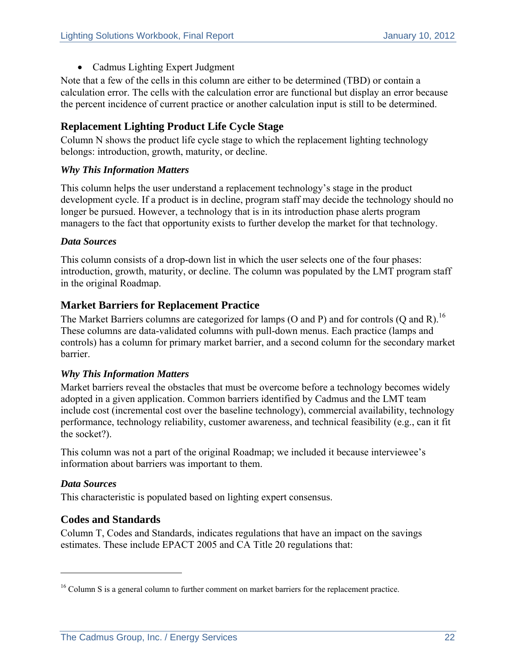• Cadmus Lighting Expert Judgment

Note that a few of the cells in this column are either to be determined (TBD) or contain a calculation error. The cells with the calculation error are functional but display an error because the percent incidence of current practice or another calculation input is still to be determined.

#### **Replacement Lighting Product Life Cycle Stage**

Column N shows the product life cycle stage to which the replacement lighting technology belongs: introduction, growth, maturity, or decline.

#### *Why This Information Matters*

This column helps the user understand a replacement technology's stage in the product development cycle. If a product is in decline, program staff may decide the technology should no longer be pursued. However, a technology that is in its introduction phase alerts program managers to the fact that opportunity exists to further develop the market for that technology.

#### *Data Sources*

This column consists of a drop-down list in which the user selects one of the four phases: introduction, growth, maturity, or decline. The column was populated by the LMT program staff in the original Roadmap.

#### **Market Barriers for Replacement Practice**

The Market Barriers columns are categorized for lamps (O and P) and for controls (Q and R).<sup>16</sup> These columns are data-validated columns with pull-down menus. Each practice (lamps and controls) has a column for primary market barrier, and a second column for the secondary market barrier.

#### *Why This Information Matters*

Market barriers reveal the obstacles that must be overcome before a technology becomes widely adopted in a given application. Common barriers identified by Cadmus and the LMT team include cost (incremental cost over the baseline technology), commercial availability, technology performance, technology reliability, customer awareness, and technical feasibility (e.g., can it fit the socket?).

This column was not a part of the original Roadmap; we included it because interviewee's information about barriers was important to them.

#### *Data Sources*

 $\overline{a}$ 

This characteristic is populated based on lighting expert consensus.

#### **Codes and Standards**

Column T, Codes and Standards, indicates regulations that have an impact on the savings estimates. These include EPACT 2005 and CA Title 20 regulations that:

<sup>&</sup>lt;sup>16</sup> Column S is a general column to further comment on market barriers for the replacement practice.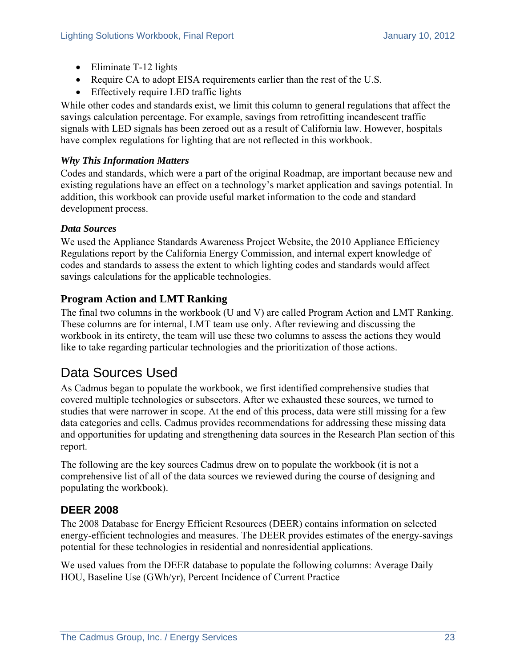- Eliminate T-12 lights
- Require CA to adopt EISA requirements earlier than the rest of the U.S.
- Effectively require LED traffic lights

While other codes and standards exist, we limit this column to general regulations that affect the savings calculation percentage. For example, savings from retrofitting incandescent traffic signals with LED signals has been zeroed out as a result of California law. However, hospitals have complex regulations for lighting that are not reflected in this workbook.

#### *Why This Information Matters*

Codes and standards, which were a part of the original Roadmap, are important because new and existing regulations have an effect on a technology's market application and savings potential. In addition, this workbook can provide useful market information to the code and standard development process.

#### *Data Sources*

We used the Appliance Standards Awareness Project Website, the 2010 Appliance Efficiency Regulations report by the California Energy Commission, and internal expert knowledge of codes and standards to assess the extent to which lighting codes and standards would affect savings calculations for the applicable technologies.

#### **Program Action and LMT Ranking**

The final two columns in the workbook (U and V) are called Program Action and LMT Ranking. These columns are for internal, LMT team use only. After reviewing and discussing the workbook in its entirety, the team will use these two columns to assess the actions they would like to take regarding particular technologies and the prioritization of those actions.

### Data Sources Used

As Cadmus began to populate the workbook, we first identified comprehensive studies that covered multiple technologies or subsectors. After we exhausted these sources, we turned to studies that were narrower in scope. At the end of this process, data were still missing for a few data categories and cells. Cadmus provides recommendations for addressing these missing data and opportunities for updating and strengthening data sources in the Research Plan section of this report.

The following are the key sources Cadmus drew on to populate the workbook (it is not a comprehensive list of all of the data sources we reviewed during the course of designing and populating the workbook).

#### **DEER 2008**

The 2008 Database for Energy Efficient Resources (DEER) contains information on selected energy-efficient technologies and measures. The DEER provides estimates of the energy-savings potential for these technologies in residential and nonresidential applications.

We used values from the DEER database to populate the following columns: Average Daily HOU, Baseline Use (GWh/yr), Percent Incidence of Current Practice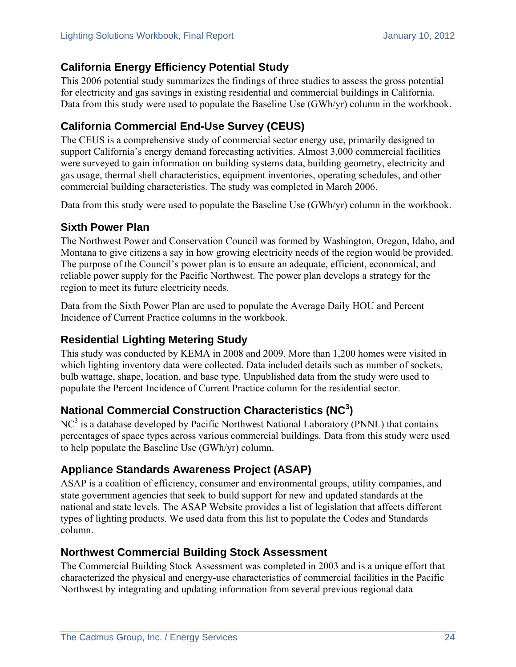#### **California Energy Efficiency Potential Study**

This 2006 potential study summarizes the findings of three studies to assess the gross potential for electricity and gas savings in existing residential and commercial buildings in California. Data from this study were used to populate the Baseline Use (GWh/yr) column in the workbook.

### **California Commercial End-Use Survey (CEUS)**

The CEUS is a comprehensive study of commercial sector energy use, primarily designed to support California's energy demand forecasting activities. Almost 3,000 commercial facilities were surveyed to gain information on building systems data, building geometry, electricity and gas usage, thermal shell characteristics, equipment inventories, operating schedules, and other commercial building characteristics. The study was completed in March 2006.

Data from this study were used to populate the Baseline Use (GWh/yr) column in the workbook.

#### **Sixth Power Plan**

The Northwest Power and Conservation Council was formed by Washington, Oregon, Idaho, and Montana to give citizens a say in how growing electricity needs of the region would be provided. The purpose of the Council's power plan is to ensure an adequate, efficient, economical, and reliable power supply for the Pacific Northwest. The power plan develops a strategy for the region to meet its future electricity needs.

Data from the Sixth Power Plan are used to populate the Average Daily HOU and Percent Incidence of Current Practice columns in the workbook.

#### **Residential Lighting Metering Study**

This study was conducted by KEMA in 2008 and 2009. More than 1,200 homes were visited in which lighting inventory data were collected. Data included details such as number of sockets, bulb wattage, shape, location, and base type. Unpublished data from the study were used to populate the Percent Incidence of Current Practice column for the residential sector.

#### **National Commercial Construction Characteristics (NC<sup>3</sup> )**

 $NC<sup>3</sup>$  is a database developed by Pacific Northwest National Laboratory (PNNL) that contains percentages of space types across various commercial buildings. Data from this study were used to help populate the Baseline Use (GWh/yr) column.

#### **Appliance Standards Awareness Project (ASAP)**

ASAP is a coalition of efficiency, consumer and environmental groups, utility companies, and state government agencies that seek to build support for new and updated standards at the national and state levels. The ASAP Website provides a list of legislation that affects different types of lighting products. We used data from this list to populate the Codes and Standards column.

#### **Northwest Commercial Building Stock Assessment**

The Commercial Building Stock Assessment was completed in 2003 and is a unique effort that characterized the physical and energy-use characteristics of commercial facilities in the Pacific Northwest by integrating and updating information from several previous regional data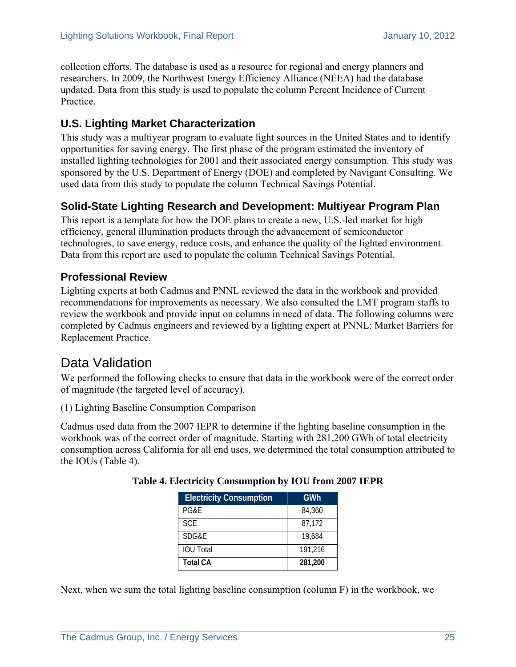collection efforts. The database is used as a resource for regional and energy planners and researchers. In 2009, the Northwest Energy Efficiency Alliance (NEEA) had the database updated. Data from this study is used to populate the column Percent Incidence of Current Practice.

#### **U.S. Lighting Market Characterization**

This study was a multiyear program to evaluate light sources in the United States and to identify opportunities for saving energy. The first phase of the program estimated the inventory of installed lighting technologies for 2001 and their associated energy consumption. This study was sponsored by the U.S. Department of Energy (DOE) and completed by Navigant Consulting. We used data from this study to populate the column Technical Savings Potential.

#### **Solid-State Lighting Research and Development: Multiyear Program Plan**

This report is a template for how the DOE plans to create a new, U.S.-led market for high efficiency, general illumination products through the advancement of semiconductor technologies, to save energy, reduce costs, and enhance the quality of the lighted environment. Data from this report are used to populate the column Technical Savings Potential.

#### **Professional Review**

Lighting experts at both Cadmus and PNNL reviewed the data in the workbook and provided recommendations for improvements as necessary. We also consulted the LMT program staffs to review the workbook and provide input on columns in need of data. The following columns were completed by Cadmus engineers and reviewed by a lighting expert at PNNL: Market Barriers for Replacement Practice.

### Data Validation

We performed the following checks to ensure that data in the workbook were of the correct order of magnitude (the targeted level of accuracy).

(1) Lighting Baseline Consumption Comparison

Cadmus used data from the 2007 IEPR to determine if the lighting baseline consumption in the workbook was of the correct order of magnitude. Starting with 281,200 GWh of total electricity consumption across California for all end uses, we determined the total consumption attributed to the IOUs (Table 4).

| <b>Electricity Consumption</b> | GWh     |
|--------------------------------|---------|
| PG&E                           | 84,360  |
| <b>SCE</b>                     | 87,172  |
| SDG&E                          | 19,684  |
| <b>IOU Total</b>               | 191.216 |
| <b>Total CA</b>                | 281,200 |

| Table 4. Electricity Consumption by IOU from 2007 IEPR |  |  |  |
|--------------------------------------------------------|--|--|--|
|--------------------------------------------------------|--|--|--|

Next, when we sum the total lighting baseline consumption (column F) in the workbook, we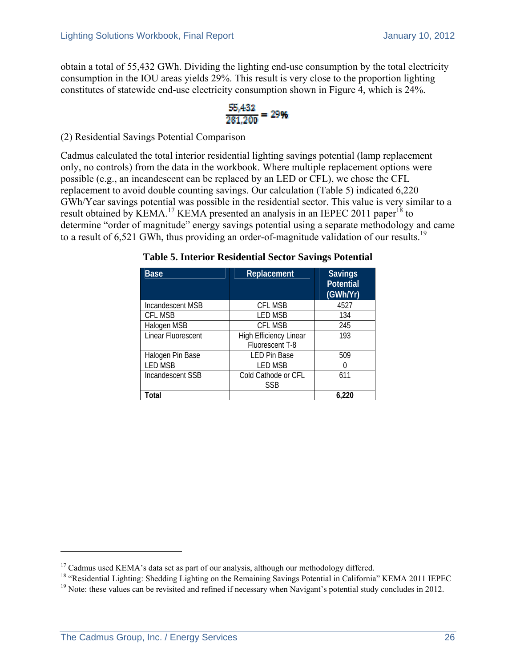obtain a total of 55,432 GWh. Dividing the lighting end-use consumption by the total electricity consumption in the IOU areas yields 29%. This result is very close to the proportion lighting constitutes of statewide end-use electricity consumption shown in Figure 4, which is 24%.

$$
\frac{55,432}{281,200} = 29\%
$$

(2) Residential Savings Potential Comparison

Cadmus calculated the total interior residential lighting savings potential (lamp replacement only, no controls) from the data in the workbook. Where multiple replacement options were possible (e.g., an incandescent can be replaced by an LED or CFL), we chose the CFL replacement to avoid double counting savings. Our calculation (Table 5) indicated 6,220 GWh/Year savings potential was possible in the residential sector. This value is very similar to a result obtained by KEMA.<sup>17</sup> KEMA presented an analysis in an IEPEC 2011 paper<sup>18</sup> to determine "order of magnitude" energy savings potential using a separate methodology and came to a result of 6,521 GWh, thus providing an order-of-magnitude validation of our results.<sup>19</sup>

| <b>Base</b>        | Replacement                                      | <b>Savings</b><br><b>Potential</b><br>(GWh/Yr) |
|--------------------|--------------------------------------------------|------------------------------------------------|
| Incandescent MSB   | <b>CFL MSB</b>                                   | 4527                                           |
| <b>CFL MSB</b>     | LED MSB                                          | 134                                            |
| Halogen MSB        | <b>CFL MSB</b>                                   | 245                                            |
| Linear Fluorescent | <b>High Efficiency Linear</b><br>Fluorescent T-8 | 193                                            |
| Halogen Pin Base   | <b>LED Pin Base</b>                              | 509                                            |
| <b>LED MSB</b>     | <b>LED MSB</b>                                   |                                                |
| Incandescent SSB   | Cold Cathode or CFL<br><b>SSB</b>                | 611                                            |
| Total              |                                                  | 6.220                                          |

**Table 5. Interior Residential Sector Savings Potential** 

 $\overline{a}$ 

<sup>&</sup>lt;sup>17</sup> Cadmus used KEMA's data set as part of our analysis, although our methodology differed.

<sup>&</sup>lt;sup>18</sup> "Residential Lighting: Shedding Lighting on the Remaining Savings Potential in California" KEMA 2011 IEPEC

<sup>&</sup>lt;sup>19</sup> Note: these values can be revisited and refined if necessary when Navigant's potential study concludes in 2012.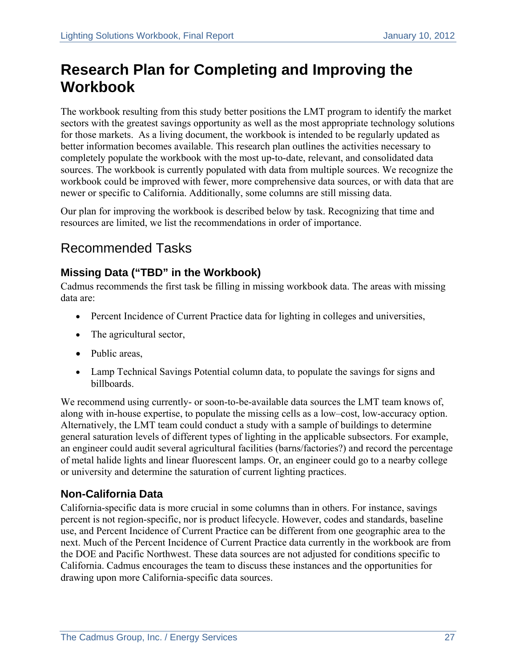# **Research Plan for Completing and Improving the Workbook**

The workbook resulting from this study better positions the LMT program to identify the market sectors with the greatest savings opportunity as well as the most appropriate technology solutions for those markets. As a living document, the workbook is intended to be regularly updated as better information becomes available. This research plan outlines the activities necessary to completely populate the workbook with the most up-to-date, relevant, and consolidated data sources. The workbook is currently populated with data from multiple sources. We recognize the workbook could be improved with fewer, more comprehensive data sources, or with data that are newer or specific to California. Additionally, some columns are still missing data.

Our plan for improving the workbook is described below by task. Recognizing that time and resources are limited, we list the recommendations in order of importance.

### Recommended Tasks

#### **Missing Data ("TBD" in the Workbook)**

Cadmus recommends the first task be filling in missing workbook data. The areas with missing data are:

- Percent Incidence of Current Practice data for lighting in colleges and universities,
- The agricultural sector,
- Public areas.
- Lamp Technical Savings Potential column data, to populate the savings for signs and billboards.

We recommend using currently- or soon-to-be-available data sources the LMT team knows of, along with in-house expertise, to populate the missing cells as a low–cost, low-accuracy option. Alternatively, the LMT team could conduct a study with a sample of buildings to determine general saturation levels of different types of lighting in the applicable subsectors. For example, an engineer could audit several agricultural facilities (barns/factories?) and record the percentage of metal halide lights and linear fluorescent lamps. Or, an engineer could go to a nearby college or university and determine the saturation of current lighting practices.

#### **Non-California Data**

California-specific data is more crucial in some columns than in others. For instance, savings percent is not region-specific, nor is product lifecycle. However, codes and standards, baseline use, and Percent Incidence of Current Practice can be different from one geographic area to the next. Much of the Percent Incidence of Current Practice data currently in the workbook are from the DOE and Pacific Northwest. These data sources are not adjusted for conditions specific to California. Cadmus encourages the team to discuss these instances and the opportunities for drawing upon more California-specific data sources.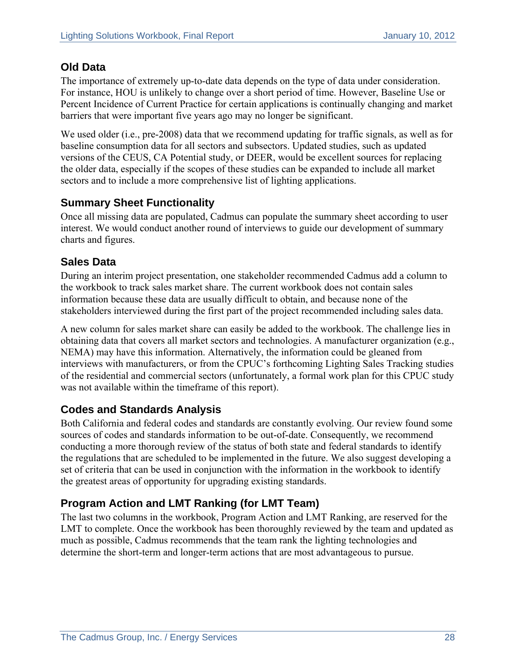#### **Old Data**

The importance of extremely up-to-date data depends on the type of data under consideration. For instance, HOU is unlikely to change over a short period of time. However, Baseline Use or Percent Incidence of Current Practice for certain applications is continually changing and market barriers that were important five years ago may no longer be significant.

We used older (i.e., pre-2008) data that we recommend updating for traffic signals, as well as for baseline consumption data for all sectors and subsectors. Updated studies, such as updated versions of the CEUS, CA Potential study, or DEER, would be excellent sources for replacing the older data, especially if the scopes of these studies can be expanded to include all market sectors and to include a more comprehensive list of lighting applications.

#### **Summary Sheet Functionality**

Once all missing data are populated, Cadmus can populate the summary sheet according to user interest. We would conduct another round of interviews to guide our development of summary charts and figures.

#### **Sales Data**

During an interim project presentation, one stakeholder recommended Cadmus add a column to the workbook to track sales market share. The current workbook does not contain sales information because these data are usually difficult to obtain, and because none of the stakeholders interviewed during the first part of the project recommended including sales data.

A new column for sales market share can easily be added to the workbook. The challenge lies in obtaining data that covers all market sectors and technologies. A manufacturer organization (e.g., NEMA) may have this information. Alternatively, the information could be gleaned from interviews with manufacturers, or from the CPUC's forthcoming Lighting Sales Tracking studies of the residential and commercial sectors (unfortunately, a formal work plan for this CPUC study was not available within the timeframe of this report).

#### **Codes and Standards Analysis**

Both California and federal codes and standards are constantly evolving. Our review found some sources of codes and standards information to be out-of-date. Consequently, we recommend conducting a more thorough review of the status of both state and federal standards to identify the regulations that are scheduled to be implemented in the future. We also suggest developing a set of criteria that can be used in conjunction with the information in the workbook to identify the greatest areas of opportunity for upgrading existing standards.

### **Program Action and LMT Ranking (for LMT Team)**

The last two columns in the workbook, Program Action and LMT Ranking, are reserved for the LMT to complete. Once the workbook has been thoroughly reviewed by the team and updated as much as possible, Cadmus recommends that the team rank the lighting technologies and determine the short-term and longer-term actions that are most advantageous to pursue.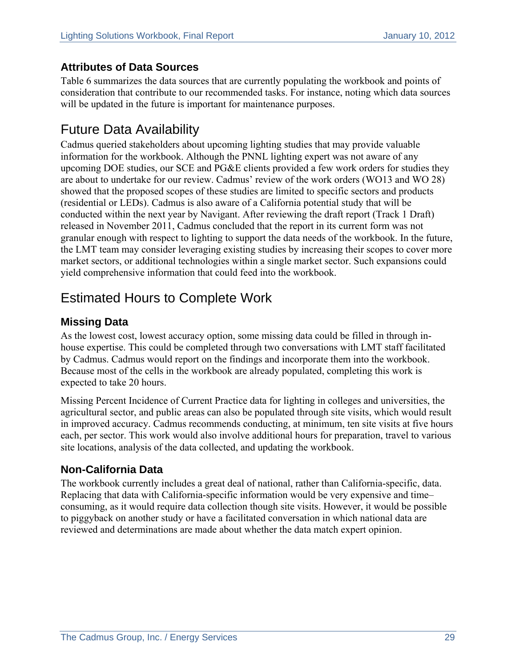#### **Attributes of Data Sources**

Table 6 summarizes the data sources that are currently populating the workbook and points of consideration that contribute to our recommended tasks. For instance, noting which data sources will be updated in the future is important for maintenance purposes.

## Future Data Availability

Cadmus queried stakeholders about upcoming lighting studies that may provide valuable information for the workbook. Although the PNNL lighting expert was not aware of any upcoming DOE studies, our SCE and PG&E clients provided a few work orders for studies they are about to undertake for our review. Cadmus' review of the work orders (WO13 and WO 28) showed that the proposed scopes of these studies are limited to specific sectors and products (residential or LEDs). Cadmus is also aware of a California potential study that will be conducted within the next year by Navigant. After reviewing the draft report (Track 1 Draft) released in November 2011, Cadmus concluded that the report in its current form was not granular enough with respect to lighting to support the data needs of the workbook. In the future, the LMT team may consider leveraging existing studies by increasing their scopes to cover more market sectors, or additional technologies within a single market sector. Such expansions could yield comprehensive information that could feed into the workbook.

## Estimated Hours to Complete Work

#### **Missing Data**

As the lowest cost, lowest accuracy option, some missing data could be filled in through inhouse expertise. This could be completed through two conversations with LMT staff facilitated by Cadmus. Cadmus would report on the findings and incorporate them into the workbook. Because most of the cells in the workbook are already populated, completing this work is expected to take 20 hours.

Missing Percent Incidence of Current Practice data for lighting in colleges and universities, the agricultural sector, and public areas can also be populated through site visits, which would result in improved accuracy. Cadmus recommends conducting, at minimum, ten site visits at five hours each, per sector. This work would also involve additional hours for preparation, travel to various site locations, analysis of the data collected, and updating the workbook.

#### **Non-California Data**

The workbook currently includes a great deal of national, rather than California-specific, data. Replacing that data with California-specific information would be very expensive and time– consuming, as it would require data collection though site visits. However, it would be possible to piggyback on another study or have a facilitated conversation in which national data are reviewed and determinations are made about whether the data match expert opinion.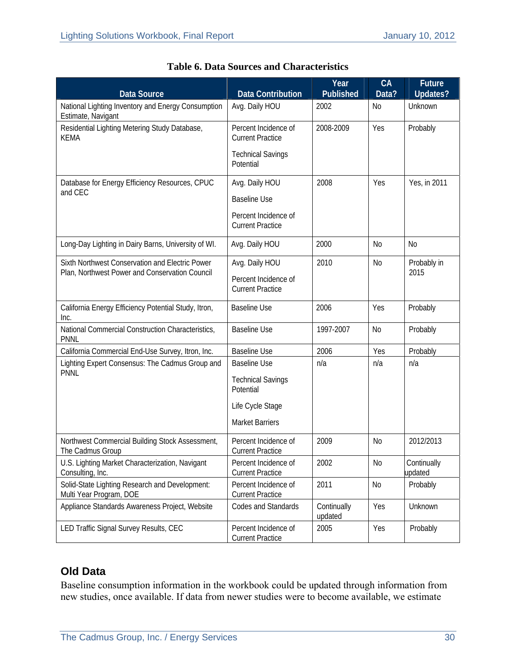| <b>Data Source</b>                                                        | <b>Data Contribution</b>                        | Year<br>Published      | CA<br>Data?    | <b>Future</b><br><b>Updates?</b> |
|---------------------------------------------------------------------------|-------------------------------------------------|------------------------|----------------|----------------------------------|
| National Lighting Inventory and Energy Consumption<br>Estimate, Navigant  | Avg. Daily HOU                                  | 2002                   | N <sub>0</sub> | Unknown                          |
| Residential Lighting Metering Study Database,<br><b>KEMA</b>              | Percent Incidence of<br><b>Current Practice</b> | 2008-2009              | Yes            | Probably                         |
|                                                                           | <b>Technical Savings</b><br>Potential           |                        |                |                                  |
| Database for Energy Efficiency Resources, CPUC<br>and CEC                 | Avg. Daily HOU                                  | 2008                   | Yes            | Yes, in 2011                     |
|                                                                           | <b>Baseline Use</b>                             |                        |                |                                  |
|                                                                           | Percent Incidence of<br><b>Current Practice</b> |                        |                |                                  |
| Long-Day Lighting in Dairy Barns, University of WI.                       | Avg. Daily HOU                                  | 2000                   | N <sub>0</sub> | No                               |
| Sixth Northwest Conservation and Electric Power                           | Avg. Daily HOU                                  | 2010                   | N <sub>0</sub> | Probably in<br>2015              |
| Plan, Northwest Power and Conservation Council                            | Percent Incidence of<br><b>Current Practice</b> |                        |                |                                  |
| California Energy Efficiency Potential Study, Itron,<br>Inc.              | <b>Baseline Use</b>                             | 2006                   | Yes            | Probably                         |
| National Commercial Construction Characteristics,<br><b>PNNL</b>          | <b>Baseline Use</b>                             | 1997-2007              | N <sub>0</sub> | Probably                         |
| California Commercial End-Use Survey, Itron, Inc.                         | <b>Baseline Use</b>                             | 2006                   | Yes            | Probably                         |
| Lighting Expert Consensus: The Cadmus Group and<br><b>PNNL</b>            | <b>Baseline Use</b>                             | n/a                    | n/a            | n/a                              |
|                                                                           | <b>Technical Savings</b><br>Potential           |                        |                |                                  |
|                                                                           | Life Cycle Stage                                |                        |                |                                  |
|                                                                           | <b>Market Barriers</b>                          |                        |                |                                  |
| Northwest Commercial Building Stock Assessment,<br>The Cadmus Group       | Percent Incidence of<br><b>Current Practice</b> | 2009                   | <b>No</b>      | 2012/2013                        |
| U.S. Lighting Market Characterization, Navigant<br>Consulting, Inc.       | Percent Incidence of<br><b>Current Practice</b> | 2002                   | N <sub>0</sub> | Continually<br>updated           |
| Solid-State Lighting Research and Development:<br>Multi Year Program, DOE | Percent Incidence of<br><b>Current Practice</b> | 2011                   | No             | Probably                         |
| Appliance Standards Awareness Project, Website                            | Codes and Standards                             | Continually<br>updated | Yes            | Unknown                          |
| LED Traffic Signal Survey Results, CEC                                    | Percent Incidence of<br><b>Current Practice</b> | 2005                   | Yes            | Probably                         |

|  |  |  |  | <b>Table 6. Data Sources and Characteristics</b> |
|--|--|--|--|--------------------------------------------------|
|--|--|--|--|--------------------------------------------------|

#### **Old Data**

Baseline consumption information in the workbook could be updated through information from new studies, once available. If data from newer studies were to become available, we estimate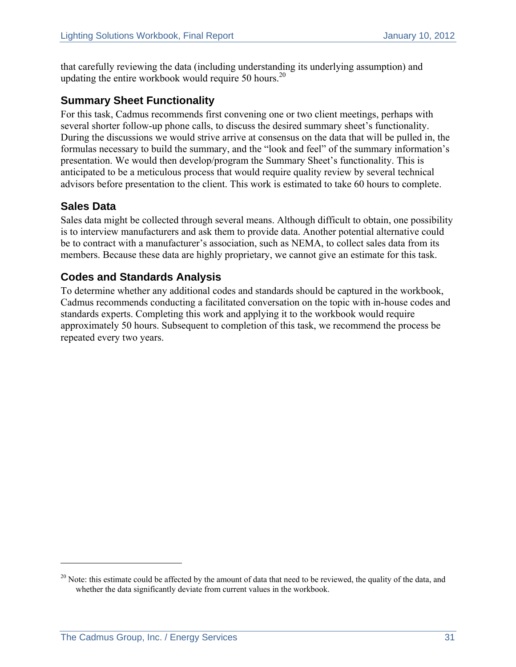that carefully reviewing the data (including understanding its underlying assumption) and updating the entire workbook would require 50 hours.<sup>20</sup>

#### **Summary Sheet Functionality**

For this task, Cadmus recommends first convening one or two client meetings, perhaps with several shorter follow-up phone calls, to discuss the desired summary sheet's functionality. During the discussions we would strive arrive at consensus on the data that will be pulled in, the formulas necessary to build the summary, and the "look and feel" of the summary information's presentation. We would then develop/program the Summary Sheet's functionality. This is anticipated to be a meticulous process that would require quality review by several technical advisors before presentation to the client. This work is estimated to take 60 hours to complete.

#### **Sales Data**

 $\overline{a}$ 

Sales data might be collected through several means. Although difficult to obtain, one possibility is to interview manufacturers and ask them to provide data. Another potential alternative could be to contract with a manufacturer's association, such as NEMA, to collect sales data from its members. Because these data are highly proprietary, we cannot give an estimate for this task.

#### **Codes and Standards Analysis**

To determine whether any additional codes and standards should be captured in the workbook, Cadmus recommends conducting a facilitated conversation on the topic with in-house codes and standards experts. Completing this work and applying it to the workbook would require approximately 50 hours. Subsequent to completion of this task, we recommend the process be repeated every two years.

 $20$  Note: this estimate could be affected by the amount of data that need to be reviewed, the quality of the data, and whether the data significantly deviate from current values in the workbook.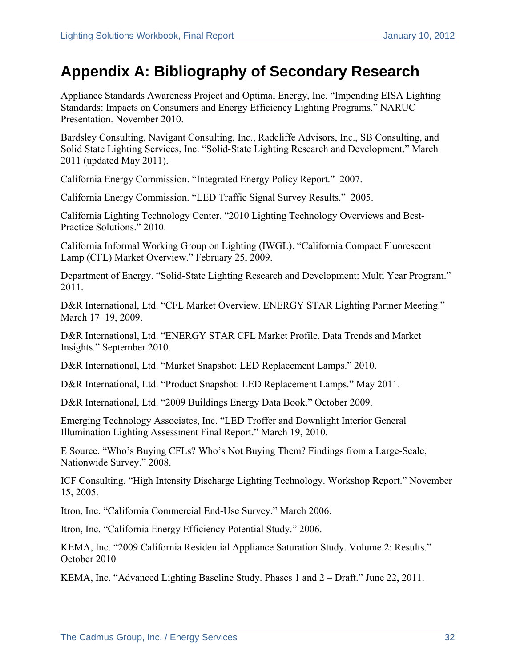# **Appendix A: Bibliography of Secondary Research**

Appliance Standards Awareness Project and Optimal Energy, Inc. "Impending EISA Lighting Standards: Impacts on Consumers and Energy Efficiency Lighting Programs." NARUC Presentation. November 2010.

Bardsley Consulting, Navigant Consulting, Inc., Radcliffe Advisors, Inc., SB Consulting, and Solid State Lighting Services, Inc. "Solid-State Lighting Research and Development." March 2011 (updated May 2011).

California Energy Commission. "Integrated Energy Policy Report." 2007.

California Energy Commission. "LED Traffic Signal Survey Results." 2005.

California Lighting Technology Center. "2010 Lighting Technology Overviews and Best-Practice Solutions." 2010.

California Informal Working Group on Lighting (IWGL). "California Compact Fluorescent Lamp (CFL) Market Overview." February 25, 2009.

Department of Energy. "Solid-State Lighting Research and Development: Multi Year Program." 2011.

D&R International, Ltd. "CFL Market Overview. ENERGY STAR Lighting Partner Meeting." March 17–19, 2009.

D&R International, Ltd. "ENERGY STAR CFL Market Profile. Data Trends and Market Insights." September 2010.

D&R International, Ltd. "Market Snapshot: LED Replacement Lamps." 2010.

D&R International, Ltd. "Product Snapshot: LED Replacement Lamps." May 2011.

D&R International, Ltd. "2009 Buildings Energy Data Book." October 2009.

Emerging Technology Associates, Inc. "LED Troffer and Downlight Interior General Illumination Lighting Assessment Final Report." March 19, 2010.

E Source. "Who's Buying CFLs? Who's Not Buying Them? Findings from a Large-Scale, Nationwide Survey." 2008.

ICF Consulting. "High Intensity Discharge Lighting Technology. Workshop Report." November 15, 2005.

Itron, Inc. "California Commercial End-Use Survey." March 2006.

Itron, Inc. "California Energy Efficiency Potential Study." 2006.

KEMA, Inc. "2009 California Residential Appliance Saturation Study. Volume 2: Results." October 2010

KEMA, Inc. "Advanced Lighting Baseline Study. Phases 1 and 2 – Draft." June 22, 2011.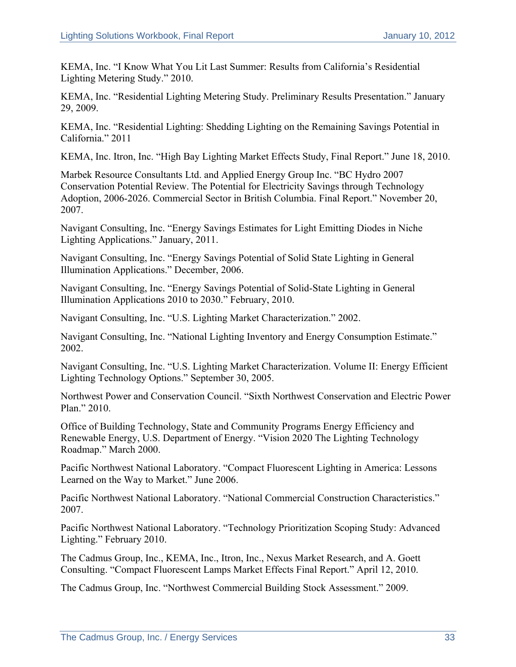KEMA, Inc. "I Know What You Lit Last Summer: Results from California's Residential Lighting Metering Study." 2010.

KEMA, Inc. "Residential Lighting Metering Study. Preliminary Results Presentation." January 29, 2009.

KEMA, Inc. "Residential Lighting: Shedding Lighting on the Remaining Savings Potential in California." 2011

KEMA, Inc. Itron, Inc. "High Bay Lighting Market Effects Study, Final Report." June 18, 2010.

Marbek Resource Consultants Ltd. and Applied Energy Group Inc. "BC Hydro 2007 Conservation Potential Review. The Potential for Electricity Savings through Technology Adoption, 2006-2026. Commercial Sector in British Columbia. Final Report." November 20, 2007.

Navigant Consulting, Inc. "Energy Savings Estimates for Light Emitting Diodes in Niche Lighting Applications." January, 2011.

Navigant Consulting, Inc. "Energy Savings Potential of Solid State Lighting in General Illumination Applications." December, 2006.

Navigant Consulting, Inc. "Energy Savings Potential of Solid-State Lighting in General Illumination Applications 2010 to 2030." February, 2010.

Navigant Consulting, Inc. "U.S. Lighting Market Characterization." 2002.

Navigant Consulting, Inc. "National Lighting Inventory and Energy Consumption Estimate." 2002.

Navigant Consulting, Inc. "U.S. Lighting Market Characterization. Volume II: Energy Efficient Lighting Technology Options." September 30, 2005.

Northwest Power and Conservation Council. "Sixth Northwest Conservation and Electric Power Plan." 2010.

Office of Building Technology, State and Community Programs Energy Efficiency and Renewable Energy, U.S. Department of Energy. "Vision 2020 The Lighting Technology Roadmap." March 2000.

Pacific Northwest National Laboratory. "Compact Fluorescent Lighting in America: Lessons Learned on the Way to Market." June 2006.

Pacific Northwest National Laboratory. "National Commercial Construction Characteristics." 2007.

Pacific Northwest National Laboratory. "Technology Prioritization Scoping Study: Advanced Lighting." February 2010.

The Cadmus Group, Inc., KEMA, Inc., Itron, Inc., Nexus Market Research, and A. Goett Consulting. "Compact Fluorescent Lamps Market Effects Final Report." April 12, 2010.

The Cadmus Group, Inc. "Northwest Commercial Building Stock Assessment." 2009.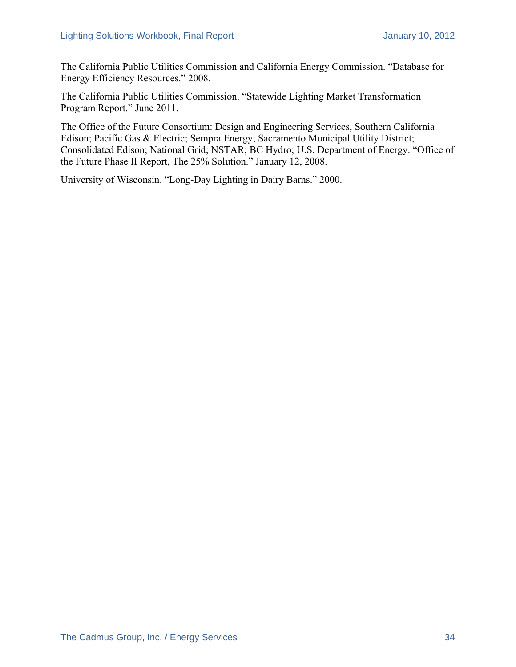The California Public Utilities Commission and California Energy Commission. "Database for Energy Efficiency Resources." 2008.

The California Public Utilities Commission. "Statewide Lighting Market Transformation Program Report." June 2011.

The Office of the Future Consortium: Design and Engineering Services, Southern California Edison; Pacific Gas & Electric; Sempra Energy; Sacramento Municipal Utility District; Consolidated Edison; National Grid; NSTAR; BC Hydro; U.S. Department of Energy. "Office of the Future Phase II Report, The 25% Solution." January 12, 2008.

University of Wisconsin. "Long-Day Lighting in Dairy Barns." 2000.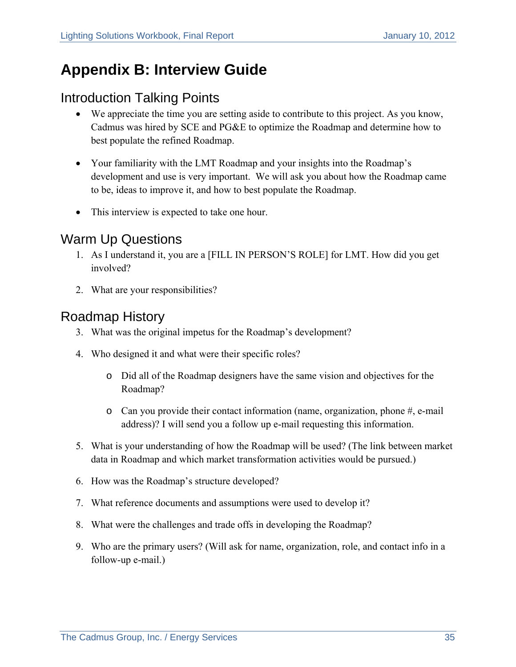# **Appendix B: Interview Guide**

### Introduction Talking Points

- We appreciate the time you are setting aside to contribute to this project. As you know, Cadmus was hired by SCE and PG&E to optimize the Roadmap and determine how to best populate the refined Roadmap.
- Your familiarity with the LMT Roadmap and your insights into the Roadmap's development and use is very important. We will ask you about how the Roadmap came to be, ideas to improve it, and how to best populate the Roadmap.
- This interview is expected to take one hour.

### Warm Up Questions

- 1. As I understand it, you are a [FILL IN PERSON'S ROLE] for LMT. How did you get involved?
- 2. What are your responsibilities?

### Roadmap History

- 3. What was the original impetus for the Roadmap's development?
- 4. Who designed it and what were their specific roles?
	- o Did all of the Roadmap designers have the same vision and objectives for the Roadmap?
	- $\circ$  Can you provide their contact information (name, organization, phone #, e-mail address)? I will send you a follow up e-mail requesting this information.
- 5. What is your understanding of how the Roadmap will be used? (The link between market data in Roadmap and which market transformation activities would be pursued.)
- 6. How was the Roadmap's structure developed?
- 7. What reference documents and assumptions were used to develop it?
- 8. What were the challenges and trade offs in developing the Roadmap?
- 9. Who are the primary users? (Will ask for name, organization, role, and contact info in a follow-up e-mail.)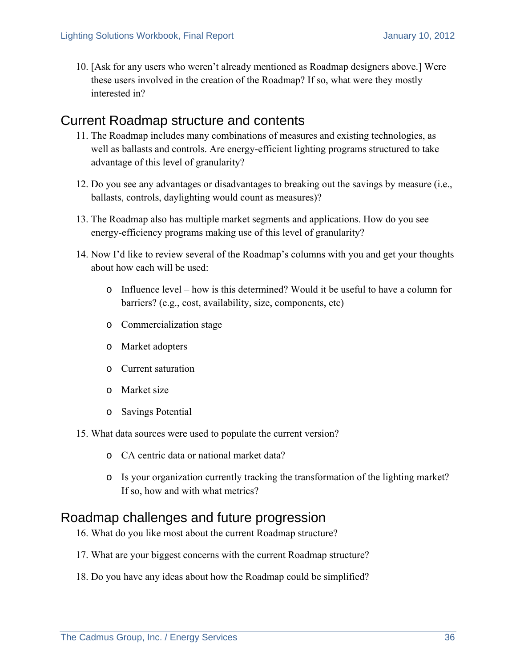10. [Ask for any users who weren't already mentioned as Roadmap designers above.] Were these users involved in the creation of the Roadmap? If so, what were they mostly interested in?

### Current Roadmap structure and contents

- 11. The Roadmap includes many combinations of measures and existing technologies, as well as ballasts and controls. Are energy-efficient lighting programs structured to take advantage of this level of granularity?
- 12. Do you see any advantages or disadvantages to breaking out the savings by measure (i.e., ballasts, controls, daylighting would count as measures)?
- 13. The Roadmap also has multiple market segments and applications. How do you see energy-efficiency programs making use of this level of granularity?
- 14. Now I'd like to review several of the Roadmap's columns with you and get your thoughts about how each will be used:
	- o Influence level how is this determined? Would it be useful to have a column for barriers? (e.g., cost, availability, size, components, etc)
	- o Commercialization stage
	- o Market adopters
	- o Current saturation
	- o Market size
	- o Savings Potential
- 15. What data sources were used to populate the current version?
	- o CA centric data or national market data?
	- o Is your organization currently tracking the transformation of the lighting market? If so, how and with what metrics?

### Roadmap challenges and future progression

- 16. What do you like most about the current Roadmap structure?
- 17. What are your biggest concerns with the current Roadmap structure?
- 18. Do you have any ideas about how the Roadmap could be simplified?